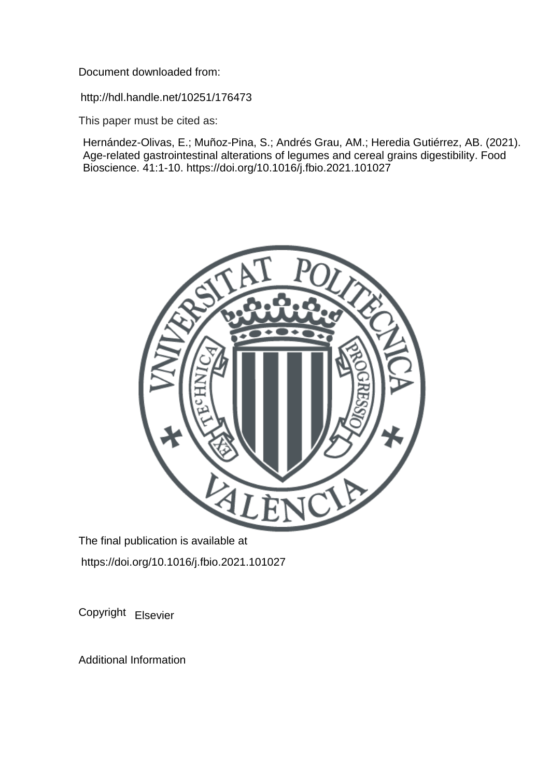Document downloaded from:

http://hdl.handle.net/10251/176473

This paper must be cited as:

Hernández-Olivas, E.; Muñoz-Pina, S.; Andrés Grau, AM.; Heredia Gutiérrez, AB. (2021). Age-related gastrointestinal alterations of legumes and cereal grains digestibility. Food Bioscience. 41:1-10. https://doi.org/10.1016/j.fbio.2021.101027



The final publication is available at https://doi.org/10.1016/j.fbio.2021.101027

Copyright Elsevier

Additional Information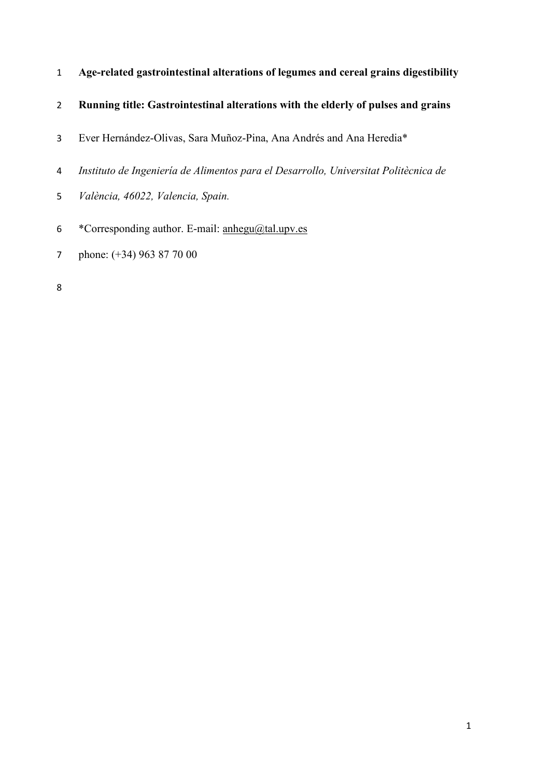- **Age-related gastrointestinal alterations of legumes and cereal grains digestibility**
- **Running title: Gastrointestinal alterations with the elderly of pulses and grains**
- Ever Hernández-Olivas, Sara Muñoz-Pina, Ana Andrés and Ana Heredia\*
- *Instituto de Ingeniería de Alimentos para el Desarrollo, Universitat Politècnica de*
- *València, 46022, Valencia, Spain.*
- 6 \* Corresponding author. E-mail: [anhegu@tal.upv.es](mailto:anhegu@tal.upv.es)
- phone: (+34) 963 87 70 00
-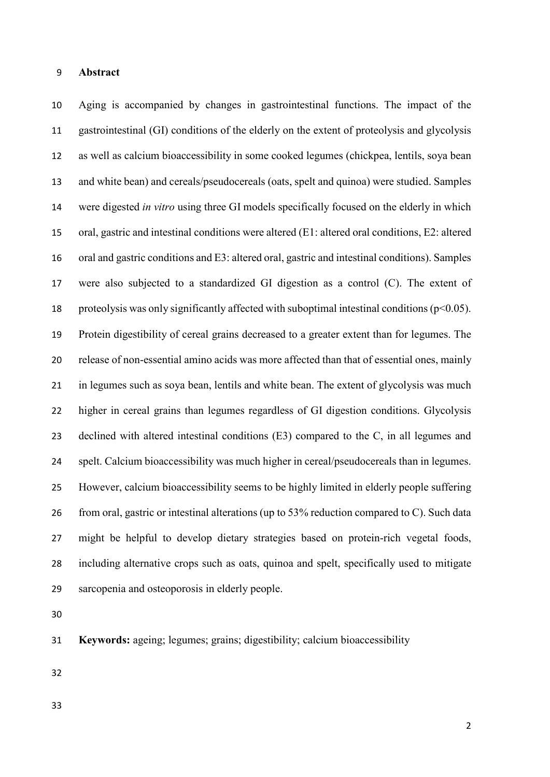### **Abstract**

 Aging is accompanied by changes in gastrointestinal functions. The impact of the gastrointestinal (GI) conditions of the elderly on the extent of proteolysis and glycolysis as well as calcium bioaccessibility in some cooked legumes (chickpea, lentils, soya bean and white bean) and cereals/pseudocereals (oats, spelt and quinoa) were studied. Samples were digested *in vitro* using three GI models specifically focused on the elderly in which oral, gastric and intestinal conditions were altered (E1: altered oral conditions, E2: altered oral and gastric conditions and E3: altered oral, gastric and intestinal conditions). Samples were also subjected to a standardized GI digestion as a control (C). The extent of 18 proteolysis was only significantly affected with suboptimal intestinal conditions ( $p<0.05$ ). Protein digestibility of cereal grains decreased to a greater extent than for legumes. The release of non-essential amino acids was more affected than that of essential ones, mainly in legumes such as soya bean, lentils and white bean. The extent of glycolysis was much higher in cereal grains than legumes regardless of GI digestion conditions. Glycolysis declined with altered intestinal conditions (E3) compared to the C, in all legumes and spelt. Calcium bioaccessibility was much higher in cereal/pseudocereals than in legumes. However, calcium bioaccessibility seems to be highly limited in elderly people suffering from oral, gastric or intestinal alterations (up to 53% reduction compared to C). Such data might be helpful to develop dietary strategies based on protein-rich vegetal foods, including alternative crops such as oats, quinoa and spelt, specifically used to mitigate sarcopenia and osteoporosis in elderly people.

**Keywords:** ageing; legumes; grains; digestibility; calcium bioaccessibility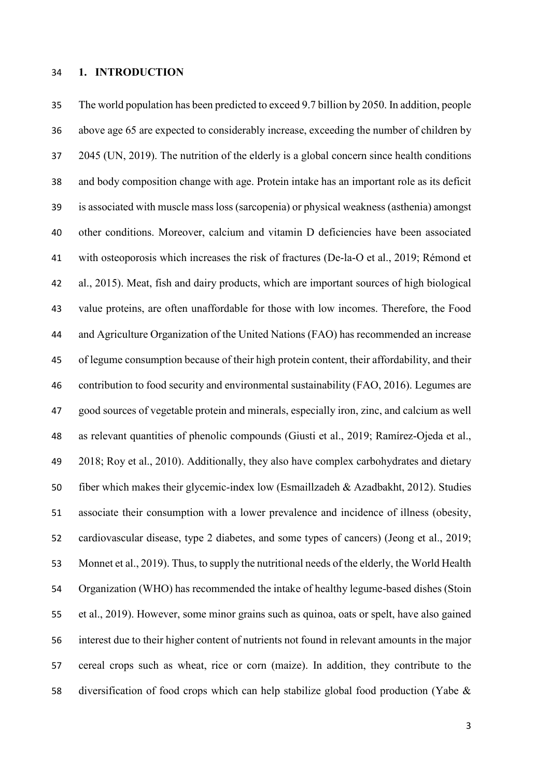### **1. INTRODUCTION**

 The world population has been predicted to exceed 9.7 billion by 2050. In addition, people above age 65 are expected to considerably increase, exceeding the number of children by 2045 (UN, 2019). The nutrition of the elderly is a global concern since health conditions and body composition change with age. Protein intake has an important role as its deficit is associated with muscle mass loss (sarcopenia) or physical weakness (asthenia) amongst other conditions. Moreover, calcium and vitamin D deficiencies have been associated with osteoporosis which increases the risk of fractures (De-la-O et al., 2019; Rémond et al., 2015). Meat, fish and dairy products, which are important sources of high biological value proteins, are often unaffordable for those with low incomes. Therefore, the Food and Agriculture Organization of the United Nations (FAO) has recommended an increase of legume consumption because of their high protein content, their affordability, and their contribution to food security and environmental sustainability (FAO, 2016). Legumes are good sources of vegetable protein and minerals, especially iron, zinc, and calcium as well as relevant quantities of phenolic compounds (Giusti et al., 2019; Ramírez-Ojeda et al., 2018; Roy et al., 2010). Additionally, they also have complex carbohydrates and dietary fiber which makes their glycemic-index low (Esmaillzadeh & Azadbakht, 2012). Studies associate their consumption with a lower prevalence and incidence of illness (obesity, cardiovascular disease, type 2 diabetes, and some types of cancers) (Jeong et al., 2019; Monnet et al., 2019). Thus, to supply the nutritional needs of the elderly, the World Health Organization (WHO) has recommended the intake of healthy legume-based dishes (Stoin et al., 2019). However, some minor grains such as quinoa, oats or spelt, have also gained interest due to their higher content of nutrients not found in relevant amounts in the major cereal crops such as wheat, rice or corn (maize). In addition, they contribute to the diversification of food crops which can help stabilize global food production (Yabe &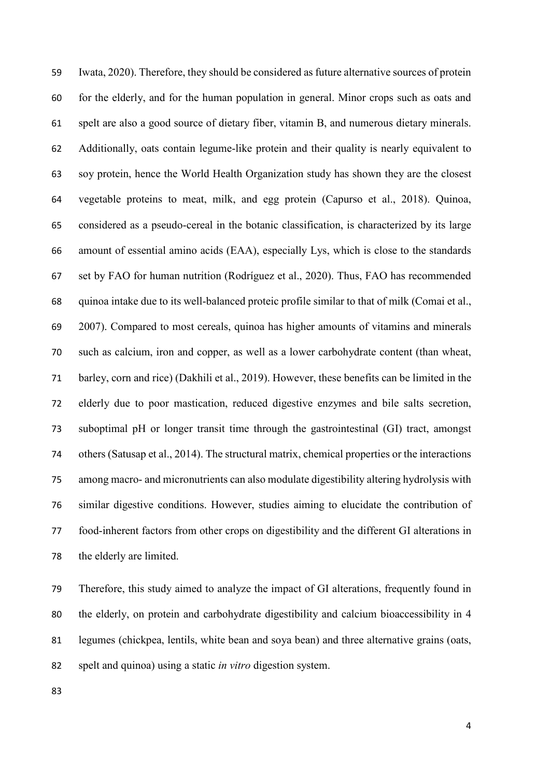Iwata, 2020). Therefore, they should be considered as future alternative sources of protein for the elderly, and for the human population in general. Minor crops such as oats and spelt are also a good source of dietary fiber, vitamin B, and numerous dietary minerals. Additionally, oats contain legume-like protein and their quality is nearly equivalent to soy protein, hence the World Health Organization study has shown they are the closest vegetable proteins to meat, milk, and egg protein (Capurso et al., 2018). Quinoa, considered as a pseudo-cereal in the botanic classification, is characterized by its large amount of essential amino acids (EAA), especially Lys, which is close to the standards set by FAO for human nutrition (Rodríguez et al., 2020). Thus, FAO has recommended quinoa intake due to its well-balanced proteic profile similar to that of milk (Comai et al., 2007). Compared to most cereals, quinoa has higher amounts of vitamins and minerals such as calcium, iron and copper, as well as a lower carbohydrate content (than wheat, barley, corn and rice) (Dakhili et al., 2019). However, these benefits can be limited in the elderly due to poor mastication, reduced digestive enzymes and bile salts secretion, suboptimal pH or longer transit time through the gastrointestinal (GI) tract, amongst others (Satusap et al., 2014). The structural matrix, chemical properties or the interactions among macro- and micronutrients can also modulate digestibility altering hydrolysis with similar digestive conditions. However, studies aiming to elucidate the contribution of food-inherent factors from other crops on digestibility and the different GI alterations in the elderly are limited.

 Therefore, this study aimed to analyze the impact of GI alterations, frequently found in the elderly, on protein and carbohydrate digestibility and calcium bioaccessibility in 4 legumes (chickpea, lentils, white bean and soya bean) and three alternative grains (oats, spelt and quinoa) using a static *in vitro* digestion system.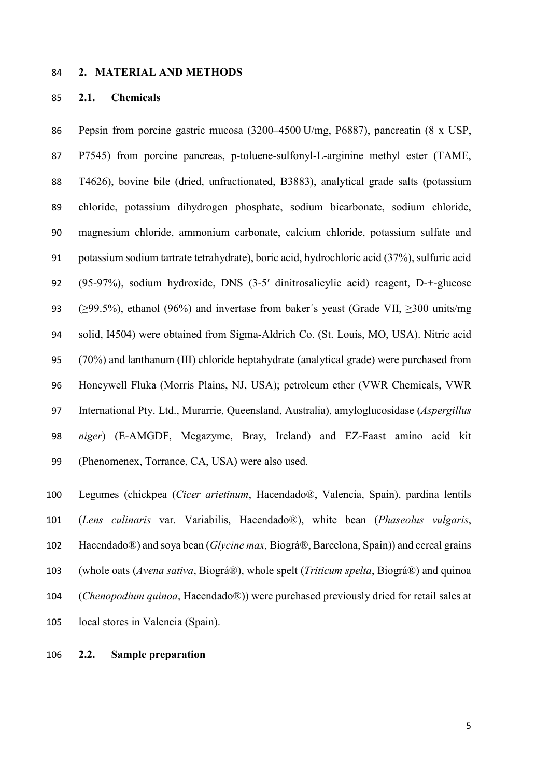#### **2. MATERIAL AND METHODS**

### **2.1. Chemicals**

 Pepsin from porcine gastric mucosa (3200–4500 U/mg, P6887), pancreatin (8 x USP, P7545) from porcine pancreas, p-toluene-sulfonyl-L-arginine methyl ester (TAME, T4626), bovine bile (dried, unfractionated, B3883), analytical grade salts (potassium chloride, potassium dihydrogen phosphate, sodium bicarbonate, sodium chloride, magnesium chloride, ammonium carbonate, calcium chloride, potassium sulfate and potassium sodium tartrate tetrahydrate), boric acid, hydrochloric acid (37%), sulfuric acid (95-97%), sodium hydroxide, DNS (3-5′ dinitrosalicylic acid) reagent, D-+-glucose (≥99.5%), ethanol (96%) and invertase from baker´s yeast (Grade VII, ≥300 units/mg solid, I4504) were obtained from Sigma-Aldrich Co. (St. Louis, MO, USA). Nitric acid (70%) and lanthanum (III) chloride heptahydrate (analytical grade) were purchased from Honeywell Fluka (Morris Plains, NJ, USA); petroleum ether (VWR Chemicals, VWR International Pty. Ltd., Murarrie, Queensland, Australia), amyloglucosidase (*Aspergillus niger*) (E-AMGDF, Megazyme, Bray, Ireland) and EZ-Faast amino acid kit (Phenomenex, Torrance, CA, USA) were also used.

 Legumes (chickpea (*Cicer arietinum*, Hacendado®, Valencia, Spain), pardina lentils (*Lens culinaris* var. Variabilis, Hacendado®), white bean (*Phaseolus vulgaris*, Hacendado®) and soya bean (*Glycine max,* Biográ®, Barcelona, Spain)) and cereal grains (whole oats (*Avena sativa*, Biográ®), whole spelt (*Triticum spelta*, Biográ®) and quinoa (*Chenopodium quinoa*, Hacendado®)) were purchased previously dried for retail sales at local stores in Valencia (Spain).

# **2.2. Sample preparation**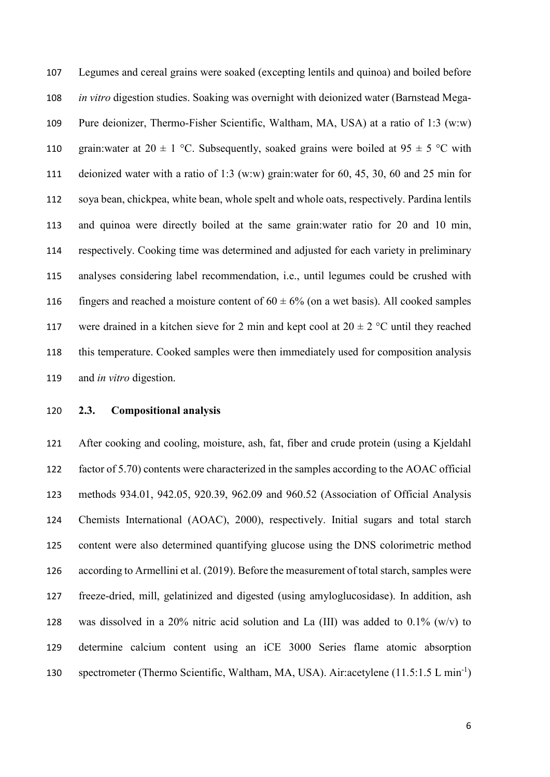Legumes and cereal grains were soaked (excepting lentils and quinoa) and boiled before *in vitro* digestion studies. Soaking was overnight with deionized water (Barnstead Mega- Pure deionizer, Thermo-Fisher Scientific, Waltham, MA, USA) at a ratio of 1:3 (w:w) 110 grain: water at 20  $\pm$  1 °C. Subsequently, soaked grains were boiled at 95  $\pm$  5 °C with deionized water with a ratio of 1:3 (w:w) grain:water for 60, 45, 30, 60 and 25 min for soya bean, chickpea, white bean, whole spelt and whole oats, respectively. Pardina lentils and quinoa were directly boiled at the same grain:water ratio for 20 and 10 min, respectively. Cooking time was determined and adjusted for each variety in preliminary analyses considering label recommendation, i.e., until legumes could be crushed with 116 fingers and reached a moisture content of  $60 \pm 6\%$  (on a wet basis). All cooked samples 117 were drained in a kitchen sieve for 2 min and kept cool at  $20 \pm 2$  °C until they reached this temperature. Cooked samples were then immediately used for composition analysis and *in vitro* digestion.

# **2.3. Compositional analysis**

 After cooking and cooling, moisture, ash, fat, fiber and crude protein (using a Kjeldahl factor of 5.70) contents were characterized in the samples according to the AOAC official methods 934.01, 942.05, 920.39, 962.09 and 960.52 (Association of Official Analysis Chemists International (AOAC), 2000), respectively. Initial sugars and total starch content were also determined quantifying glucose using the DNS colorimetric method according to Armellini et al. (2019). Before the measurement of total starch, samples were freeze-dried, mill, gelatinized and digested (using amyloglucosidase). In addition, ash 128 was dissolved in a 20% nitric acid solution and La (III) was added to  $0.1\%$  (w/v) to determine calcium content using an iCE 3000 Series flame atomic absorption spectrometer (Thermo Scientific, Waltham, MA, USA). Air:acetylene (11.5:1.5 L min<sup>-1</sup>)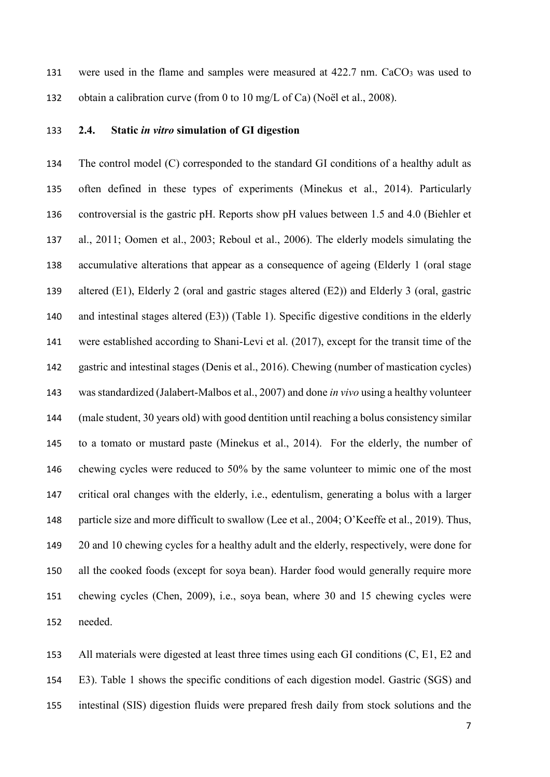131 were used in the flame and samples were measured at 422.7 nm. CaCO<sub>3</sub> was used to obtain a calibration curve (from 0 to 10 mg/L of Ca) (Noël et al., 2008).

# **2.4. Static** *in vitro* **simulation of GI digestion**

 The control model (C) corresponded to the standard GI conditions of a healthy adult as often defined in these types of experiments (Minekus et al., 2014). Particularly controversial is the gastric pH. Reports show pH values between 1.5 and 4.0 (Biehler et al., 2011; Oomen et al., 2003; Reboul et al., 2006). The elderly models simulating the accumulative alterations that appear as a consequence of ageing (Elderly 1 (oral stage altered (E1), Elderly 2 (oral and gastric stages altered (E2)) and Elderly 3 (oral, gastric and intestinal stages altered (E3)) (Table 1). Specific digestive conditions in the elderly were established according to Shani-Levi et al. (2017), except for the transit time of the gastric and intestinal stages (Denis et al., 2016). Chewing (number of mastication cycles) was standardized (Jalabert-Malbos et al., 2007) and done *in vivo* using a healthy volunteer (male student, 30 years old) with good dentition until reaching a bolus consistency similar to a tomato or mustard paste (Minekus et al., 2014). For the elderly, the number of chewing cycles were reduced to 50% by the same volunteer to mimic one of the most critical oral changes with the elderly, i.e., edentulism, generating a bolus with a larger particle size and more difficult to swallow (Lee et al., 2004; O'Keeffe et al., 2019). Thus, 20 and 10 chewing cycles for a healthy adult and the elderly, respectively, were done for all the cooked foods (except for soya bean). Harder food would generally require more chewing cycles (Chen, 2009), i.e., soya bean, where 30 and 15 chewing cycles were needed.

 All materials were digested at least three times using each GI conditions (C, E1, E2 and E3). Table 1 shows the specific conditions of each digestion model. Gastric (SGS) and intestinal (SIS) digestion fluids were prepared fresh daily from stock solutions and the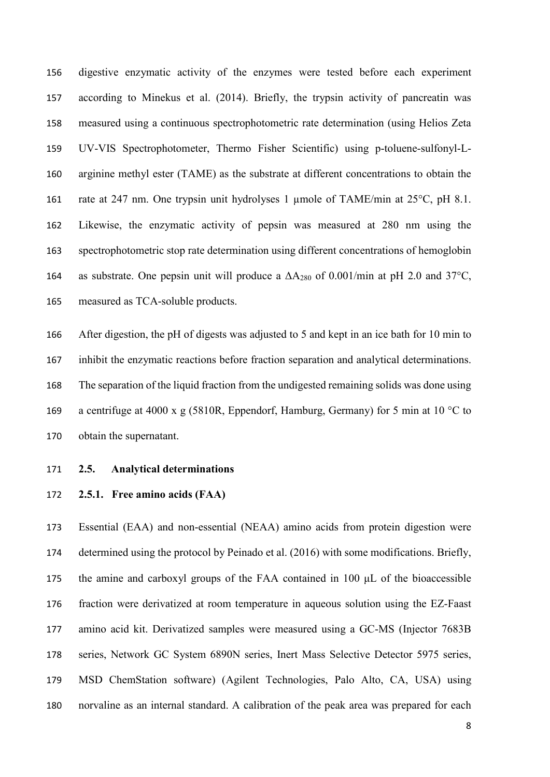digestive enzymatic activity of the enzymes were tested before each experiment according to Minekus et al. (2014). Briefly, the trypsin activity of pancreatin was measured using a continuous spectrophotometric rate determination (using Helios Zeta UV-VIS Spectrophotometer, Thermo Fisher Scientific) using p-toluene-sulfonyl-L- arginine methyl ester (TAME) as the substrate at different concentrations to obtain the rate at 247 nm. One trypsin unit hydrolyses 1 µmole of TAME/min at 25°C, pH 8.1. Likewise, the enzymatic activity of pepsin was measured at 280 nm using the spectrophotometric stop rate determination using different concentrations of hemoglobin 164 as substrate. One pepsin unit will produce a  $\Delta A_{280}$  of 0.001/min at pH 2.0 and 37°C, measured as TCA-soluble products.

 After digestion, the pH of digests was adjusted to 5 and kept in an ice bath for 10 min to inhibit the enzymatic reactions before fraction separation and analytical determinations. The separation of the liquid fraction from the undigested remaining solids was done using 169 a centrifuge at 4000 x g (5810R, Eppendorf, Hamburg, Germany) for 5 min at 10 °C to obtain the supernatant.

- **2.5. Analytical determinations**
- **2.5.1. Free amino acids (FAA)**

 Essential (EAA) and non-essential (NEAA) amino acids from protein digestion were determined using the protocol by Peinado et al. (2016) with some modifications. Briefly, the amine and carboxyl groups of the FAA contained in 100 μL of the bioaccessible fraction were derivatized at room temperature in aqueous solution using the EZ-Faast amino acid kit. Derivatized samples were measured using a GC-MS (Injector 7683B series, Network GC System 6890N series, Inert Mass Selective Detector 5975 series, MSD ChemStation software) (Agilent Technologies, Palo Alto, CA, USA) using norvaline as an internal standard. A calibration of the peak area was prepared for each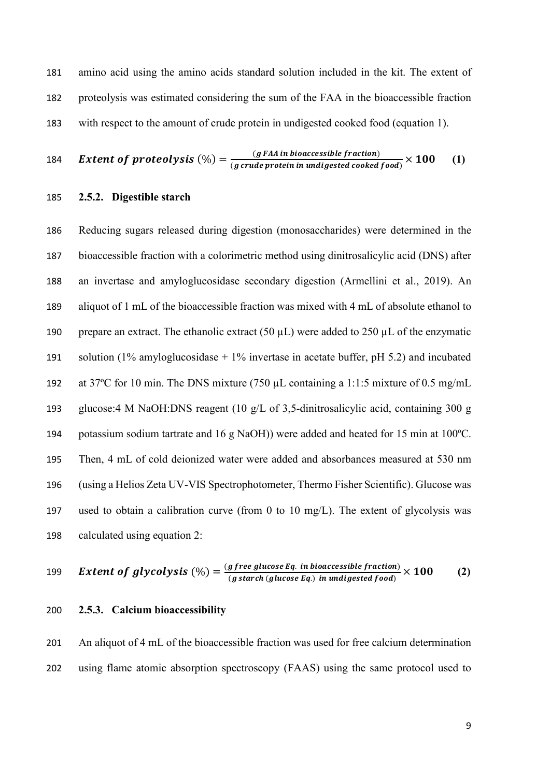amino acid using the amino acids standard solution included in the kit. The extent of proteolysis was estimated considering the sum of the FAA in the bioaccessible fraction with respect to the amount of crude protein in undigested cooked food (equation 1).

184 **Extend of protocolysis** (
$$
\%
$$
) =  $\frac{(g \text{ FAA in bioaccessible fraction})}{(g \text{ crude protein in undigested cooled food})} \times 100$  (1)

### **2.5.2. Digestible starch**

 Reducing sugars released during digestion (monosaccharides) were determined in the bioaccessible fraction with a colorimetric method using dinitrosalicylic acid (DNS) after an invertase and amyloglucosidase secondary digestion (Armellini et al., 2019). An aliquot of 1 mL of the bioaccessible fraction was mixed with 4 mL of absolute ethanol to 190 prepare an extract. The ethanolic extract  $(50 \mu L)$  were added to 250  $\mu L$  of the enzymatic 191 solution (1% amyloglucosidase  $+1\%$  invertase in acetate buffer, pH 5.2) and incubated at 37ºC for 10 min. The DNS mixture (750 µL containing a 1:1:5 mixture of 0.5 mg/mL glucose:4 M NaOH:DNS reagent (10 g/L of 3,5-dinitrosalicylic acid, containing 300 g potassium sodium tartrate and 16 g NaOH)) were added and heated for 15 min at 100ºC. Then, 4 mL of cold deionized water were added and absorbances measured at 530 nm (using a Helios Zeta UV-VIS Spectrophotometer, Thermo Fisher Scientific). Glucose was used to obtain a calibration curve (from 0 to 10 mg/L). The extent of glycolysis was calculated using equation 2:

199 **Extend of glycolysis** (
$$
\frac{9}{9}
$$
) =  $\frac{(g\text{ free glucose Eq. in bioaccessible fraction})}{(g\text{ starch (glucose Eq.)) in undigested food})} \times 100$  (2)

#### **2.5.3. Calcium bioaccessibility**

 An aliquot of 4 mL of the bioaccessible fraction was used for free calcium determination using flame atomic absorption spectroscopy (FAAS) using the same protocol used to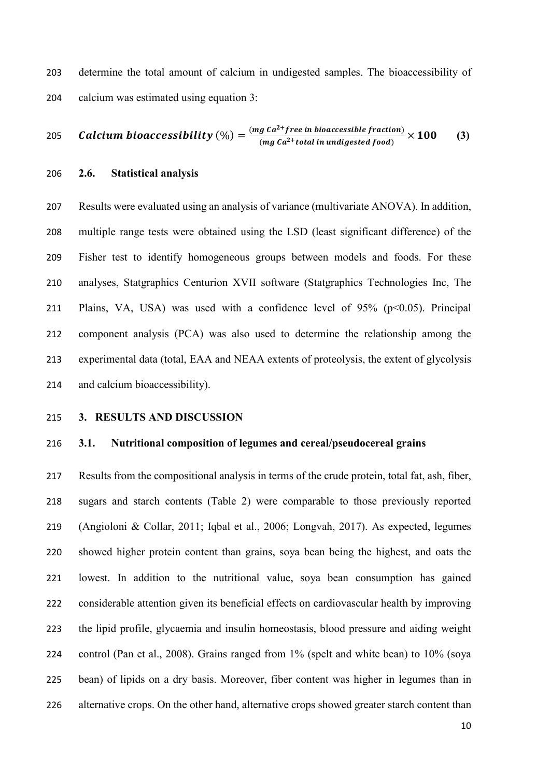determine the total amount of calcium in undigested samples. The bioaccessibility of calcium was estimated using equation 3:

205 *Calcium bioaccessibility* (%) = 
$$
\frac{(mg\ ca^{2} + free\ in\ bioaccessible\ fraction)}{(mg\ ca^{2} + total\ in\ undigested\ food)} \times 100
$$
 (3)

**2.6. Statistical analysis**

 Results were evaluated using an analysis of variance (multivariate ANOVA). In addition, multiple range tests were obtained using the LSD (least significant difference) of the Fisher test to identify homogeneous groups between models and foods. For these analyses, Statgraphics Centurion XVII software (Statgraphics Technologies Inc, The 211 Plains, VA, USA) was used with a confidence level of  $95\%$  ( $p<0.05$ ). Principal component analysis (PCA) was also used to determine the relationship among the experimental data (total, EAA and NEAA extents of proteolysis, the extent of glycolysis and calcium bioaccessibility).

#### **3. RESULTS AND DISCUSSION**

### **3.1. Nutritional composition of legumes and cereal/pseudocereal grains**

 Results from the compositional analysis in terms of the crude protein, total fat, ash, fiber, sugars and starch contents (Table 2) were comparable to those previously reported (Angioloni & Collar, 2011; Iqbal et al., 2006; Longvah, 2017). As expected, legumes showed higher protein content than grains, soya bean being the highest, and oats the lowest. In addition to the nutritional value, soya bean consumption has gained considerable attention given its beneficial effects on cardiovascular health by improving the lipid profile, glycaemia and insulin homeostasis, blood pressure and aiding weight control (Pan et al., 2008). Grains ranged from 1% (spelt and white bean) to 10% (soya bean) of lipids on a dry basis. Moreover, fiber content was higher in legumes than in 226 alternative crops. On the other hand, alternative crops showed greater starch content than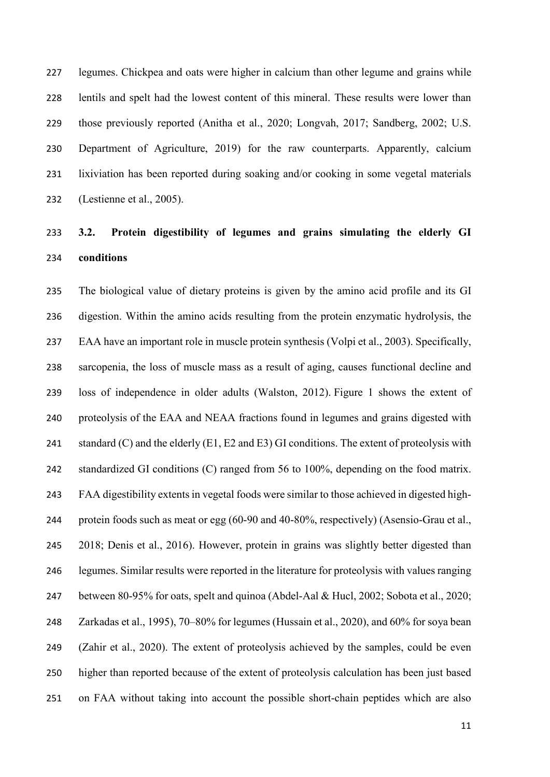legumes. Chickpea and oats were higher in calcium than other legume and grains while lentils and spelt had the lowest content of this mineral. These results were lower than those previously reported (Anitha et al., 2020; Longvah, 2017; Sandberg, 2002; U.S. Department of Agriculture, 2019) for the raw counterparts. Apparently, calcium lixiviation has been reported during soaking and/or cooking in some vegetal materials (Lestienne et al., 2005).

# **3.2. Protein digestibility of legumes and grains simulating the elderly GI conditions**

 The biological value of dietary proteins is given by the amino acid profile and its GI digestion. Within the amino acids resulting from the protein enzymatic hydrolysis, the EAA have an important role in muscle protein synthesis (Volpi et al., 2003). Specifically, sarcopenia, the loss of muscle mass as a result of aging, causes functional decline and loss of independence in older adults (Walston, 2012). Figure 1 shows the extent of proteolysis of the EAA and NEAA fractions found in legumes and grains digested with 241 standard  $(C)$  and the elderly  $(E1, E2$  and  $E3)$  GI conditions. The extent of proteolysis with 242 standardized GI conditions (C) ranged from 56 to 100%, depending on the food matrix. FAA digestibility extents in vegetal foods were similar to those achieved in digested high- protein foods such as meat or egg (60-90 and 40-80%, respectively) (Asensio-Grau et al., 2018; Denis et al., 2016). However, protein in grains was slightly better digested than legumes. Similar results were reported in the literature for proteolysis with values ranging between 80-95% for oats, spelt and quinoa (Abdel-Aal & Hucl, 2002; Sobota et al., 2020; Zarkadas et al., 1995), 70–80% for legumes (Hussain et al., 2020), and 60% for soya bean (Zahir et al., 2020). The extent of proteolysis achieved by the samples, could be even higher than reported because of the extent of proteolysis calculation has been just based on FAA without taking into account the possible short-chain peptides which are also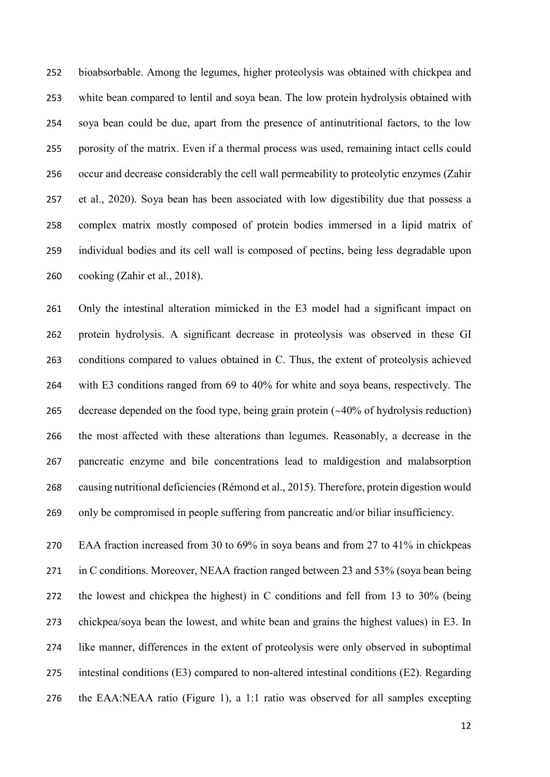bioabsorbable. Among the legumes, higher proteolysis was obtained with chickpea and white bean compared to lentil and soya bean. The low protein hydrolysis obtained with soya bean could be due, apart from the presence of antinutritional factors, to the low porosity of the matrix. Even if a thermal process was used, remaining intact cells could occur and decrease considerably the cell wall permeability to proteolytic enzymes (Zahir et al., 2020). Soya bean has been associated with low digestibility due that possess a complex matrix mostly composed of protein bodies immersed in a lipid matrix of individual bodies and its cell wall is composed of pectins, being less degradable upon cooking (Zahir et al., 2018).

 Only the intestinal alteration mimicked in the E3 model had a significant impact on protein hydrolysis. A significant decrease in proteolysis was observed in these GI conditions compared to values obtained in C. Thus, the extent of proteolysis achieved with E3 conditions ranged from 69 to 40% for white and soya beans, respectively. The decrease depended on the food type, being grain protein (~40% of hydrolysis reduction) the most affected with these alterations than legumes. Reasonably, a decrease in the pancreatic enzyme and bile concentrations lead to maldigestion and malabsorption causing nutritional deficiencies (Rémond et al., 2015). Therefore, protein digestion would only be compromised in people suffering from pancreatic and/or biliar insufficiency.

 EAA fraction increased from 30 to 69% in soya beans and from 27 to 41% in chickpeas in C conditions. Moreover, NEAA fraction ranged between 23 and 53% (soya bean being the lowest and chickpea the highest) in C conditions and fell from 13 to 30% (being chickpea/soya bean the lowest, and white bean and grains the highest values) in E3. In like manner, differences in the extent of proteolysis were only observed in suboptimal intestinal conditions (E3) compared to non-altered intestinal conditions (E2). Regarding the EAA:NEAA ratio (Figure 1), a 1:1 ratio was observed for all samples excepting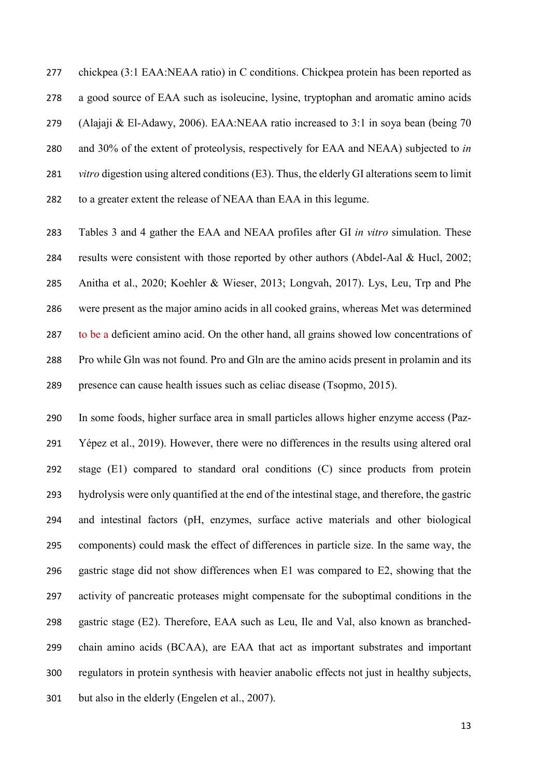chickpea (3:1 EAA:NEAA ratio) in C conditions. Chickpea protein has been reported as a good source of EAA such as isoleucine, lysine, tryptophan and aromatic amino acids (Alajaji & El-Adawy, 2006). EAA:NEAA ratio increased to 3:1 in soya bean (being 70 and 30% of the extent of proteolysis, respectively for EAA and NEAA) subjected to *in vitro* digestion using altered conditions (E3). Thus, the elderly GI alterations seem to limit to a greater extent the release of NEAA than EAA in this legume.

 Tables 3 and 4 gather the EAA and NEAA profiles after GI *in vitro* simulation. These results were consistent with those reported by other authors (Abdel-Aal & Hucl, 2002; Anitha et al., 2020; Koehler & Wieser, 2013; Longvah, 2017). Lys, Leu, Trp and Phe were present as the major amino acids in all cooked grains, whereas Met was determined 287 to be a deficient amino acid. On the other hand, all grains showed low concentrations of Pro while Gln was not found. Pro and Gln are the amino acids present in prolamin and its presence can cause health issues such as celiac disease (Tsopmo, 2015).

 In some foods, higher surface area in small particles allows higher enzyme access (Paz- Yépez et al., 2019). However, there were no differences in the results using altered oral stage (E1) compared to standard oral conditions (C) since products from protein hydrolysis were only quantified at the end of the intestinal stage, and therefore, the gastric and intestinal factors (pH, enzymes, surface active materials and other biological components) could mask the effect of differences in particle size. In the same way, the gastric stage did not show differences when E1 was compared to E2, showing that the activity of pancreatic proteases might compensate for the suboptimal conditions in the gastric stage (E2). Therefore, EAA such as Leu, Ile and Val, also known as branched- chain amino acids (BCAA), are EAA that act as important substrates and important regulators in protein synthesis with heavier anabolic effects not just in healthy subjects, but also in the elderly (Engelen et al., 2007).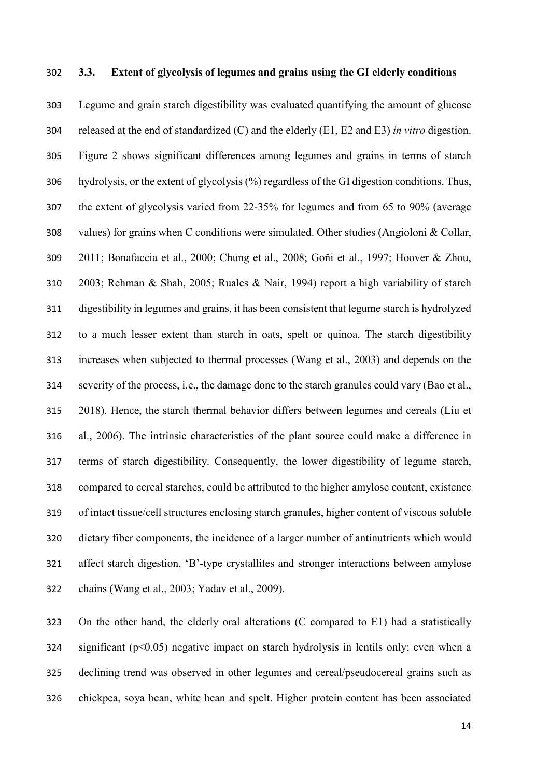### **3.3. Extent of glycolysis of legumes and grains using the GI elderly conditions**

 Legume and grain starch digestibility was evaluated quantifying the amount of glucose released at the end of standardized (C) and the elderly (E1, E2 and E3) *in vitro* digestion. Figure 2 shows significant differences among legumes and grains in terms of starch hydrolysis, or the extent of glycolysis (%) regardless of the GI digestion conditions. Thus, the extent of glycolysis varied from 22-35% for legumes and from 65 to 90% (average values) for grains when C conditions were simulated. Other studies (Angioloni & Collar, 2011; Bonafaccia et al., 2000; Chung et al., 2008; Goñi et al., 1997; Hoover & Zhou, 2003; Rehman & Shah, 2005; Ruales & Nair, 1994) report a high variability of starch digestibility in legumes and grains, it has been consistent that legume starch is hydrolyzed to a much lesser extent than starch in oats, spelt or quinoa. The starch digestibility increases when subjected to thermal processes (Wang et al., 2003) and depends on the severity of the process, i.e., the damage done to the starch granules could vary (Bao et al., 2018). Hence, the starch thermal behavior differs between legumes and cereals (Liu et al., 2006). The intrinsic characteristics of the plant source could make a difference in terms of starch digestibility. Consequently, the lower digestibility of legume starch, compared to cereal starches, could be attributed to the higher amylose content, existence of intact tissue/cell structures enclosing starch granules, higher content of viscous soluble dietary fiber components, the incidence of a larger number of antinutrients which would affect starch digestion, 'B'-type crystallites and stronger interactions between amylose chains (Wang et al., 2003; Yadav et al., 2009).

 On the other hand, the elderly oral alterations (C compared to E1) had a statistically 324 significant  $(p<0.05)$  negative impact on starch hydrolysis in lentils only; even when a declining trend was observed in other legumes and cereal/pseudocereal grains such as chickpea, soya bean, white bean and spelt. Higher protein content has been associated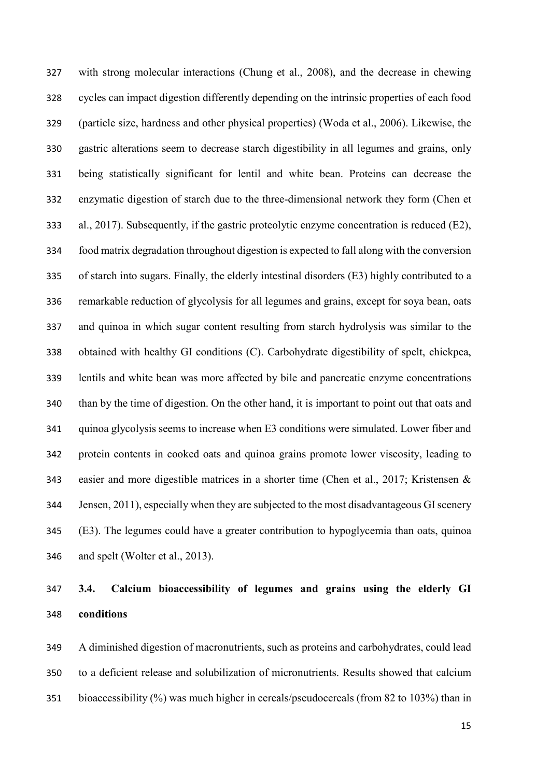with strong molecular interactions (Chung et al., 2008), and the decrease in chewing cycles can impact digestion differently depending on the intrinsic properties of each food (particle size, hardness and other physical properties) (Woda et al., 2006). Likewise, the gastric alterations seem to decrease starch digestibility in all legumes and grains, only being statistically significant for lentil and white bean. Proteins can decrease the enzymatic digestion of starch due to the three-dimensional network they form (Chen et al., 2017). Subsequently, if the gastric proteolytic enzyme concentration is reduced (E2), food matrix degradation throughout digestion is expected to fall along with the conversion of starch into sugars. Finally, the elderly intestinal disorders (E3) highly contributed to a remarkable reduction of glycolysis for all legumes and grains, except for soya bean, oats and quinoa in which sugar content resulting from starch hydrolysis was similar to the obtained with healthy GI conditions (C). Carbohydrate digestibility of spelt, chickpea, lentils and white bean was more affected by bile and pancreatic enzyme concentrations than by the time of digestion. On the other hand, it is important to point out that oats and quinoa glycolysis seems to increase when E3 conditions were simulated. Lower fiber and protein contents in cooked oats and quinoa grains promote lower viscosity, leading to easier and more digestible matrices in a shorter time (Chen et al., 2017; Kristensen & Jensen, 2011), especially when they are subjected to the most disadvantageous GI scenery (E3). The legumes could have a greater contribution to hypoglycemia than oats, quinoa and spelt (Wolter et al., 2013).

# **3.4. Calcium bioaccessibility of legumes and grains using the elderly GI conditions**

 A diminished digestion of macronutrients, such as proteins and carbohydrates, could lead to a deficient release and solubilization of micronutrients. Results showed that calcium bioaccessibility (%) was much higher in cereals/pseudocereals (from 82 to 103%) than in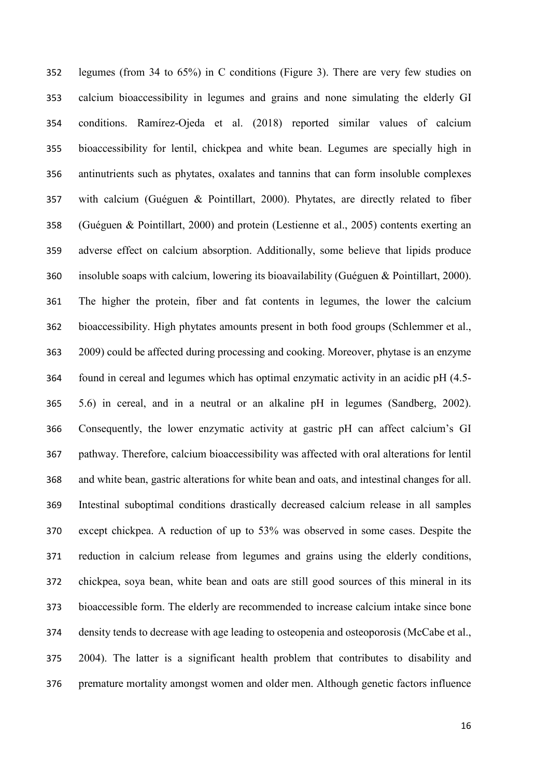legumes (from 34 to 65%) in C conditions (Figure 3). There are very few studies on calcium bioaccessibility in legumes and grains and none simulating the elderly GI conditions. Ramírez-Ojeda et al. (2018) reported similar values of calcium bioaccessibility for lentil, chickpea and white bean. Legumes are specially high in antinutrients such as phytates, oxalates and tannins that can form insoluble complexes with calcium (Guéguen & Pointillart, 2000). Phytates, are directly related to fiber (Guéguen & Pointillart, 2000) and protein (Lestienne et al., 2005) contents exerting an adverse effect on calcium absorption. Additionally, some believe that lipids produce insoluble soaps with calcium, lowering its bioavailability (Guéguen & Pointillart, 2000). The higher the protein, fiber and fat contents in legumes, the lower the calcium bioaccessibility. High phytates amounts present in both food groups (Schlemmer et al., 2009) could be affected during processing and cooking. Moreover, phytase is an enzyme found in cereal and legumes which has optimal enzymatic activity in an acidic pH (4.5- 5.6) in cereal, and in a neutral or an alkaline pH in legumes (Sandberg, 2002). Consequently, the lower enzymatic activity at gastric pH can affect calcium's GI pathway. Therefore, calcium bioaccessibility was affected with oral alterations for lentil and white bean, gastric alterations for white bean and oats, and intestinal changes for all. Intestinal suboptimal conditions drastically decreased calcium release in all samples except chickpea. A reduction of up to 53% was observed in some cases. Despite the reduction in calcium release from legumes and grains using the elderly conditions, chickpea, soya bean, white bean and oats are still good sources of this mineral in its bioaccessible form. The elderly are recommended to increase calcium intake since bone density tends to decrease with age leading to osteopenia and osteoporosis (McCabe et al., 2004). The latter is a significant health problem that contributes to disability and premature mortality amongst women and older men. Although genetic factors influence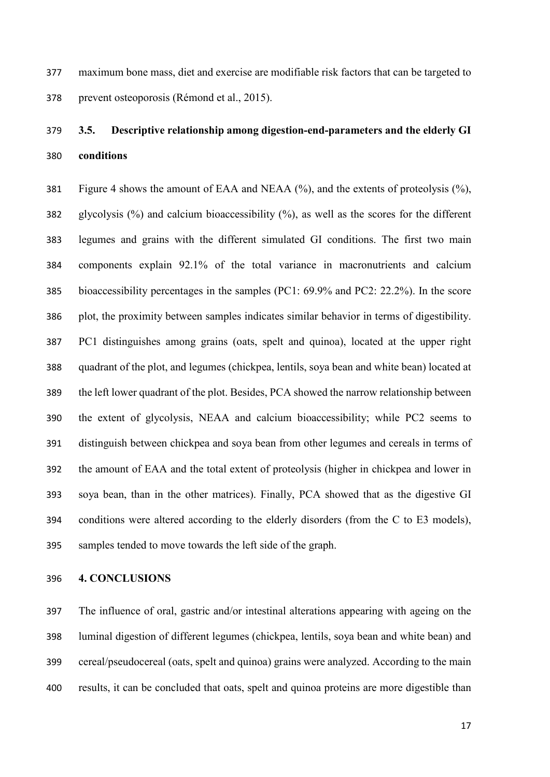maximum bone mass, diet and exercise are modifiable risk factors that can be targeted to prevent osteoporosis (Rémond et al., 2015).

# **3.5. Descriptive relationship among digestion-end-parameters and the elderly GI conditions**

 Figure 4 shows the amount of EAA and NEAA (%), and the extents of proteolysis (%), glycolysis (%) and calcium bioaccessibility (%), as well as the scores for the different legumes and grains with the different simulated GI conditions. The first two main components explain 92.1% of the total variance in macronutrients and calcium bioaccessibility percentages in the samples (PC1: 69.9% and PC2: 22.2%). In the score plot, the proximity between samples indicates similar behavior in terms of digestibility. PC1 distinguishes among grains (oats, spelt and quinoa), located at the upper right quadrant of the plot, and legumes (chickpea, lentils, soya bean and white bean) located at the left lower quadrant of the plot. Besides, PCA showed the narrow relationship between the extent of glycolysis, NEAA and calcium bioaccessibility; while PC2 seems to distinguish between chickpea and soya bean from other legumes and cereals in terms of the amount of EAA and the total extent of proteolysis (higher in chickpea and lower in soya bean, than in the other matrices). Finally, PCA showed that as the digestive GI conditions were altered according to the elderly disorders (from the C to E3 models), samples tended to move towards the left side of the graph.

#### **4. CONCLUSIONS**

 The influence of oral, gastric and/or intestinal alterations appearing with ageing on the luminal digestion of different legumes (chickpea, lentils, soya bean and white bean) and cereal/pseudocereal (oats, spelt and quinoa) grains were analyzed. According to the main results, it can be concluded that oats, spelt and quinoa proteins are more digestible than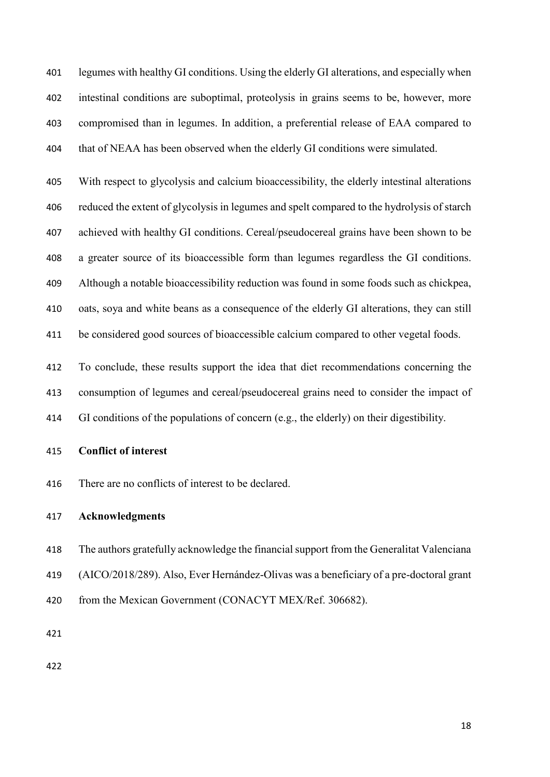legumes with healthy GI conditions. Using the elderly GI alterations, and especially when intestinal conditions are suboptimal, proteolysis in grains seems to be, however, more compromised than in legumes. In addition, a preferential release of EAA compared to that of NEAA has been observed when the elderly GI conditions were simulated.

 With respect to glycolysis and calcium bioaccessibility, the elderly intestinal alterations reduced the extent of glycolysis in legumes and spelt compared to the hydrolysis of starch achieved with healthy GI conditions. Cereal/pseudocereal grains have been shown to be a greater source of its bioaccessible form than legumes regardless the GI conditions. Although a notable bioaccessibility reduction was found in some foods such as chickpea, oats, soya and white beans as a consequence of the elderly GI alterations, they can still be considered good sources of bioaccessible calcium compared to other vegetal foods.

 To conclude, these results support the idea that diet recommendations concerning the consumption of legumes and cereal/pseudocereal grains need to consider the impact of GI conditions of the populations of concern (e.g., the elderly) on their digestibility.

- **Conflict of interest**
- There are no conflicts of interest to be declared.

### **Acknowledgments**

- The authors gratefully acknowledge the financial support from the Generalitat Valenciana
- (AICO/2018/289). Also, Ever Hernández-Olivas was a beneficiary of a pre-doctoral grant
- 420 from the Mexican Government (CONACYT MEX/Ref. 306682).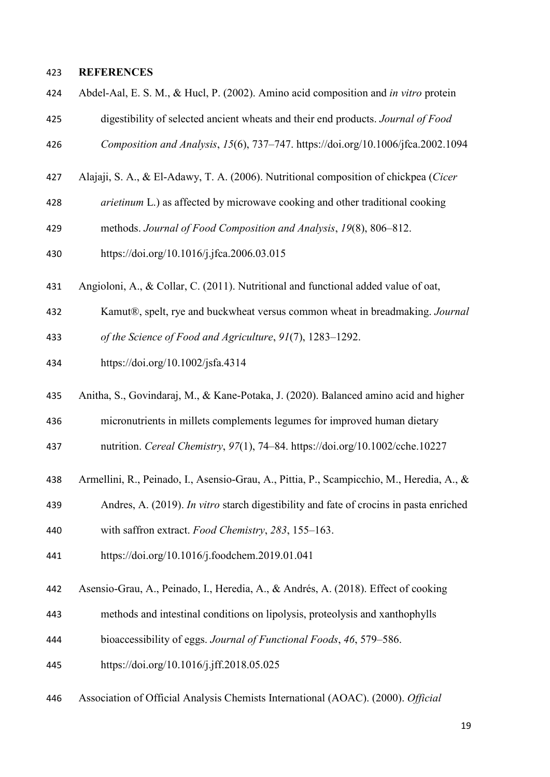## **REFERENCES**

- Abdel-Aal, E. S. M., & Hucl, P. (2002). Amino acid composition and *in vitro* protein digestibility of selected ancient wheats and their end products. *Journal of Food*
- *Composition and Analysis*, *15*(6), 737–747. https://doi.org/10.1006/jfca.2002.1094
- Alajaji, S. A., & El-Adawy, T. A. (2006). Nutritional composition of chickpea (*Cicer*
- *arietinum* L.) as affected by microwave cooking and other traditional cooking
- methods. *Journal of Food Composition and Analysis*, *19*(8), 806–812.
- https://doi.org/10.1016/j.jfca.2006.03.015
- Angioloni, A., & Collar, C. (2011). Nutritional and functional added value of oat,
- Kamut®, spelt, rye and buckwheat versus common wheat in breadmaking. *Journal*

*of the Science of Food and Agriculture*, *91*(7), 1283–1292.

- https://doi.org/10.1002/jsfa.4314
- Anitha, S., Govindaraj, M., & Kane-Potaka, J. (2020). Balanced amino acid and higher
- micronutrients in millets complements legumes for improved human dietary
- nutrition. *Cereal Chemistry*, *97*(1), 74–84. https://doi.org/10.1002/cche.10227
- Armellini, R., Peinado, I., Asensio-Grau, A., Pittia, P., Scampicchio, M., Heredia, A., &
- Andres, A. (2019). *In vitro* starch digestibility and fate of crocins in pasta enriched
- with saffron extract. *Food Chemistry*, *283*, 155–163.
- https://doi.org/10.1016/j.foodchem.2019.01.041
- Asensio-Grau, A., Peinado, I., Heredia, A., & Andrés, A. (2018). Effect of cooking
- methods and intestinal conditions on lipolysis, proteolysis and xanthophylls
- bioaccessibility of eggs. *Journal of Functional Foods*, *46*, 579–586.
- https://doi.org/10.1016/j.jff.2018.05.025
- Association of Official Analysis Chemists International (AOAC). (2000). *Official*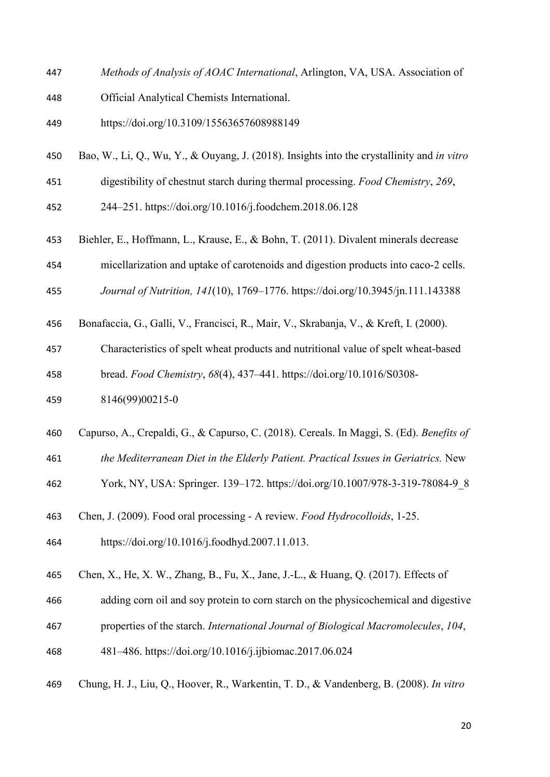- *Methods of Analysis of AOAC International*, Arlington, VA, USA. Association of
- Official Analytical Chemists International.
- https://doi.org/10.3109/15563657608988149
- Bao, W., Li, Q., Wu, Y., & Ouyang, J. (2018). Insights into the crystallinity and *in vitro*
- digestibility of chestnut starch during thermal processing. *Food Chemistry*, *269*,
- 244–251. https://doi.org/10.1016/j.foodchem.2018.06.128
- Biehler, E., Hoffmann, L., Krause, E., & Bohn, T. (2011). Divalent minerals decrease
- micellarization and uptake of carotenoids and digestion products into caco-2 cells.
- *Journal of Nutrition, 141*(10), 1769–1776. https://doi.org/10.3945/jn.111.143388
- Bonafaccia, G., Galli, V., Francisci, R., Mair, V., Skrabanja, V., & Kreft, I. (2000).
- Characteristics of spelt wheat products and nutritional value of spelt wheat-based
- bread. *Food Chemistry*, *68*(4), 437–441. https://doi.org/10.1016/S0308-
- 8146(99)00215-0
- Capurso, A., Crepaldi, G., & Capurso, C. (2018). Cereals. In Maggi, S. (Ed). *Benefits of*
- *the Mediterranean Diet in the Elderly Patient. Practical Issues in Geriatrics.* New
- York, NY, USA: Springer. 139–172. https://doi.org/10.1007/978-3-319-78084-9\_8
- Chen, J. (2009). Food oral processing A review. *Food Hydrocolloids*, 1-25.
- https://doi.org/10.1016/j.foodhyd.2007.11.013.
- Chen, X., He, X. W., Zhang, B., Fu, X., Jane, J.-L., & Huang, Q. (2017). Effects of
- adding corn oil and soy protein to corn starch on the physicochemical and digestive
- properties of the starch. *International Journal of Biological Macromolecules*, *104*,
- 481–486. https://doi.org/10.1016/j.ijbiomac.2017.06.024
- Chung, H. J., Liu, Q., Hoover, R., Warkentin, T. D., & Vandenberg, B. (2008). *In vitro*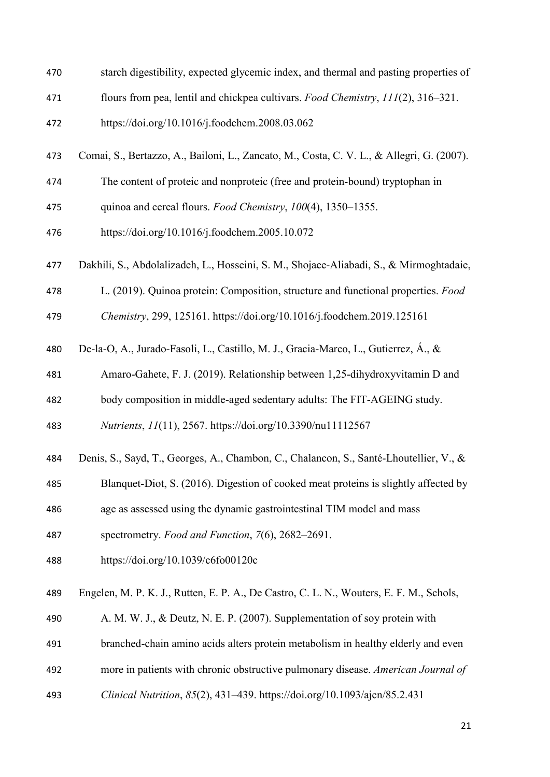- starch digestibility, expected glycemic index, and thermal and pasting properties of
- flours from pea, lentil and chickpea cultivars. *Food Chemistry*, *111*(2), 316–321.
- https://doi.org/10.1016/j.foodchem.2008.03.062
- Comai, S., Bertazzo, A., Bailoni, L., Zancato, M., Costa, C. V. L., & Allegri, G. (2007).
- The content of proteic and nonproteic (free and protein-bound) tryptophan in
- quinoa and cereal flours. *Food Chemistry*, *100*(4), 1350–1355.
- https://doi.org/10.1016/j.foodchem.2005.10.072
- Dakhili, S., Abdolalizadeh, L., Hosseini, S. M., Shojaee-Aliabadi, S., & Mirmoghtadaie,
- L. (2019). Quinoa protein: Composition, structure and functional properties. *Food*
- *Chemistry*, 299, 125161. https://doi.org/10.1016/j.foodchem.2019.125161
- De-la-O, A., Jurado-Fasoli, L., Castillo, M. J., Gracia-Marco, L., Gutierrez, Á., &
- Amaro-Gahete, F. J. (2019). Relationship between 1,25-dihydroxyvitamin D and
- body composition in middle-aged sedentary adults: The FIT-AGEING study.

*Nutrients*, *11*(11), 2567. https://doi.org/10.3390/nu11112567

- Denis, S., Sayd, T., Georges, A., Chambon, C., Chalancon, S., Santé-Lhoutellier, V., &
- Blanquet-Diot, S. (2016). Digestion of cooked meat proteins is slightly affected by
- age as assessed using the dynamic gastrointestinal TIM model and mass
- spectrometry. *Food and Function*, *7*(6), 2682–2691.
- https://doi.org/10.1039/c6fo00120c
- Engelen, M. P. K. J., Rutten, E. P. A., De Castro, C. L. N., Wouters, E. F. M., Schols,
- A. M. W. J., & Deutz, N. E. P. (2007). Supplementation of soy protein with
- branched-chain amino acids alters protein metabolism in healthy elderly and even
- more in patients with chronic obstructive pulmonary disease. *American Journal of*
- *Clinical Nutrition*, *85*(2), 431–439. https://doi.org/10.1093/ajcn/85.2.431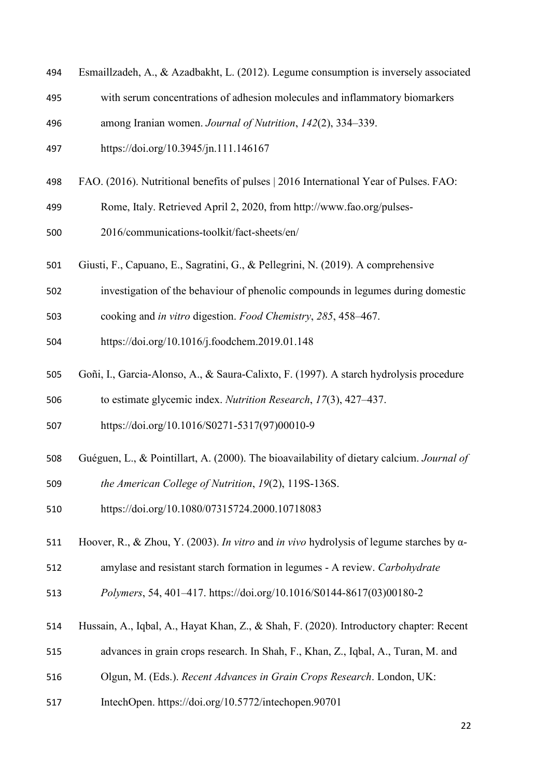- Esmaillzadeh, A., & Azadbakht, L. (2012). Legume consumption is inversely associated
- with serum concentrations of adhesion molecules and inflammatory biomarkers
- among Iranian women. *Journal of Nutrition*, *142*(2), 334–339.
- https://doi.org/10.3945/jn.111.146167
- FAO. (2016). Nutritional benefits of pulses | 2016 International Year of Pulses. FAO:
- Rome, Italy. Retrieved April 2, 2020, from http://www.fao.org/pulses-
- 2016/communications-toolkit/fact-sheets/en/
- Giusti, F., Capuano, E., Sagratini, G., & Pellegrini, N. (2019). A comprehensive
- investigation of the behaviour of phenolic compounds in legumes during domestic
- cooking and *in vitro* digestion. *Food Chemistry*, *285*, 458–467.
- https://doi.org/10.1016/j.foodchem.2019.01.148
- Goñi, I., Garcia-Alonso, A., & Saura-Calixto, F. (1997). A starch hydrolysis procedure to estimate glycemic index. *Nutrition Research*, *17*(3), 427–437.
- https://doi.org/10.1016/S0271-5317(97)00010-9
- Guéguen, L., & Pointillart, A. (2000). The bioavailability of dietary calcium. *Journal of*
- *the American College of Nutrition*, *19*(2), 119S-136S.
- https://doi.org/10.1080/07315724.2000.10718083
- Hoover, R., & Zhou, Y. (2003). *In vitro* and *in vivo* hydrolysis of legume starches by α-
- amylase and resistant starch formation in legumes A review. *Carbohydrate*
- *Polymers*, 54, 401–417. https://doi.org/10.1016/S0144-8617(03)00180-2
- Hussain, A., Iqbal, A., Hayat Khan, Z., & Shah, F. (2020). Introductory chapter: Recent
- advances in grain crops research. In Shah, F., Khan, Z., Iqbal, A., Turan, M. and
- Olgun, M. (Eds.). *Recent Advances in Grain Crops Research*. London, UK:
- IntechOpen. https://doi.org/10.5772/intechopen.90701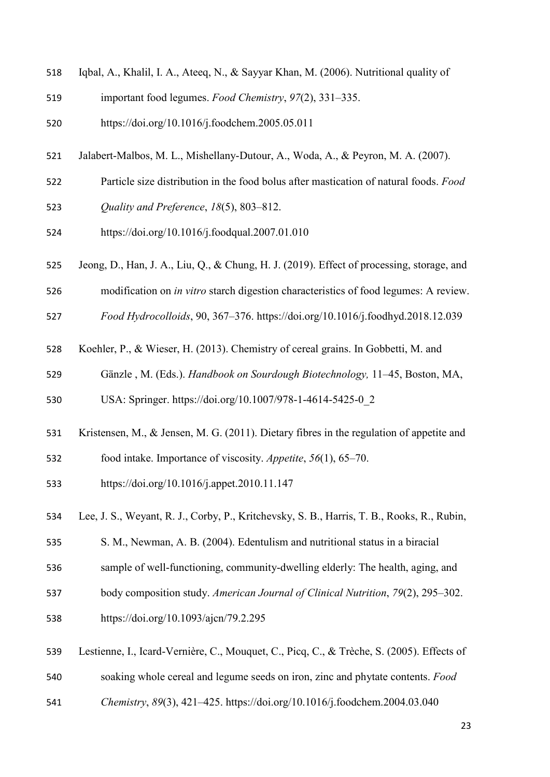- Iqbal, A., Khalil, I. A., Ateeq, N., & Sayyar Khan, M. (2006). Nutritional quality of
- important food legumes. *Food Chemistry*, *97*(2), 331–335.
- https://doi.org/10.1016/j.foodchem.2005.05.011
- Jalabert-Malbos, M. L., Mishellany-Dutour, A., Woda, A., & Peyron, M. A. (2007).
- Particle size distribution in the food bolus after mastication of natural foods. *Food Quality and Preference*, *18*(5), 803–812.
- https://doi.org/10.1016/j.foodqual.2007.01.010
- Jeong, D., Han, J. A., Liu, Q., & Chung, H. J. (2019). Effect of processing, storage, and
- modification on *in vitro* starch digestion characteristics of food legumes: A review.
- *Food Hydrocolloids*, 90, 367–376. https://doi.org/10.1016/j.foodhyd.2018.12.039
- Koehler, P., & Wieser, H. (2013). Chemistry of cereal grains. In Gobbetti, M. and
- Gänzle , M. (Eds.). *Handbook on Sourdough Biotechnology,* 11–45, Boston, MA,

USA: Springer. https://doi.org/10.1007/978-1-4614-5425-0\_2

- Kristensen, M., & Jensen, M. G. (2011). Dietary fibres in the regulation of appetite and
- food intake. Importance of viscosity. *Appetite*, *56*(1), 65–70.
- https://doi.org/10.1016/j.appet.2010.11.147
- Lee, J. S., Weyant, R. J., Corby, P., Kritchevsky, S. B., Harris, T. B., Rooks, R., Rubin,
- S. M., Newman, A. B. (2004). Edentulism and nutritional status in a biracial
- sample of well-functioning, community-dwelling elderly: The health, aging, and
- body composition study. *American Journal of Clinical Nutrition*, *79*(2), 295–302.
- https://doi.org/10.1093/ajcn/79.2.295
- Lestienne, I., Icard-Vernière, C., Mouquet, C., Picq, C., & Trèche, S. (2005). Effects of
- soaking whole cereal and legume seeds on iron, zinc and phytate contents. *Food*
- *Chemistry*, *89*(3), 421–425. https://doi.org/10.1016/j.foodchem.2004.03.040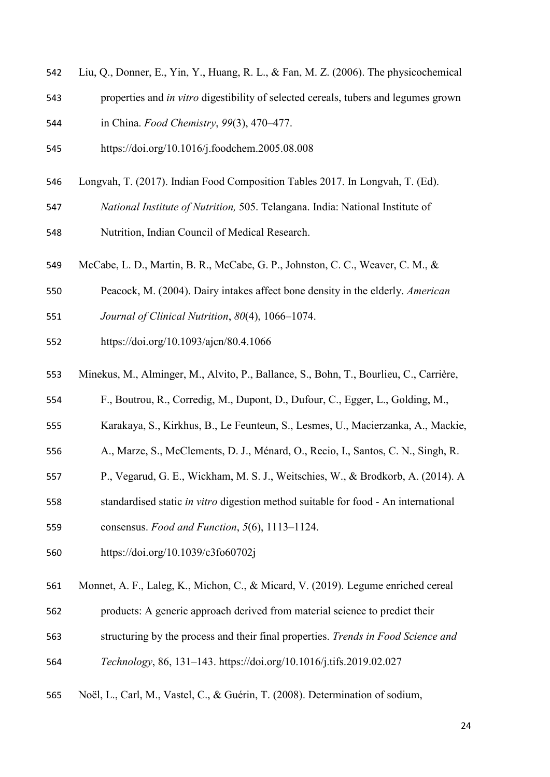- Liu, Q., Donner, E., Yin, Y., Huang, R. L., & Fan, M. Z. (2006). The physicochemical
- properties and *in vitro* digestibility of selected cereals, tubers and legumes grown in China. *Food Chemistry*, *99*(3), 470–477.
- https://doi.org/10.1016/j.foodchem.2005.08.008
- Longvah, T. (2017). Indian Food Composition Tables 2017. In Longvah, T. (Ed).
- *National Institute of Nutrition,* 505. Telangana. India: National Institute of

Nutrition, Indian Council of Medical Research.

- McCabe, L. D., Martin, B. R., McCabe, G. P., Johnston, C. C., Weaver, C. M., &
- Peacock, M. (2004). Dairy intakes affect bone density in the elderly. *American*
- *Journal of Clinical Nutrition*, *80*(4), 1066–1074.
- https://doi.org/10.1093/ajcn/80.4.1066
- Minekus, M., Alminger, M., Alvito, P., Ballance, S., Bohn, T., Bourlieu, C., Carrière,
- F., Boutrou, R., Corredig, M., Dupont, D., Dufour, C., Egger, L., Golding, M.,
- Karakaya, S., Kirkhus, B., Le Feunteun, S., Lesmes, U., Macierzanka, A., Mackie,
- A., Marze, S., McClements, D. J., Ménard, O., Recio, I., Santos, C. N., Singh, R.
- P., Vegarud, G. E., Wickham, M. S. J., Weitschies, W., & Brodkorb, A. (2014). A
- standardised static *in vitro* digestion method suitable for food An international

consensus. *Food and Function*, *5*(6), 1113–1124.

- https://doi.org/10.1039/c3fo60702j
- Monnet, A. F., Laleg, K., Michon, C., & Micard, V. (2019). Legume enriched cereal
- products: A generic approach derived from material science to predict their
- structuring by the process and their final properties. *Trends in Food Science and*
- *Technology*, 86, 131–143. https://doi.org/10.1016/j.tifs.2019.02.027
- Noël, L., Carl, M., Vastel, C., & Guérin, T. (2008). Determination of sodium,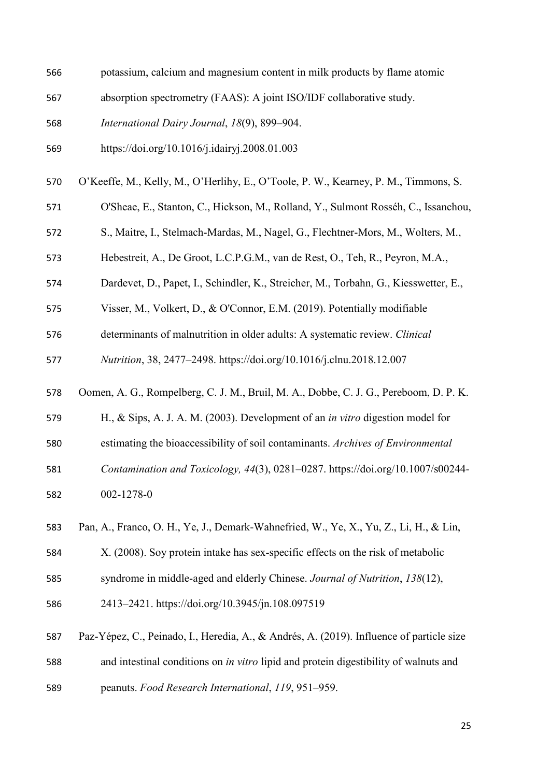| 566 | potassium, calcium and magnesium content in milk products by flame atomic                |
|-----|------------------------------------------------------------------------------------------|
| 567 | absorption spectrometry (FAAS): A joint ISO/IDF collaborative study.                     |
| 568 | International Dairy Journal, 18(9), 899-904.                                             |
| 569 | https://doi.org/10.1016/j.idairyj.2008.01.003                                            |
| 570 | O'Keeffe, M., Kelly, M., O'Herlihy, E., O'Toole, P. W., Kearney, P. M., Timmons, S.      |
| 571 | O'Sheae, E., Stanton, C., Hickson, M., Rolland, Y., Sulmont Rosséh, C., Issanchou,       |
| 572 | S., Maitre, I., Stelmach-Mardas, M., Nagel, G., Flechtner-Mors, M., Wolters, M.,         |
| 573 | Hebestreit, A., De Groot, L.C.P.G.M., van de Rest, O., Teh, R., Peyron, M.A.,            |
| 574 | Dardevet, D., Papet, I., Schindler, K., Streicher, M., Torbahn, G., Kiesswetter, E.,     |
| 575 | Visser, M., Volkert, D., & O'Connor, E.M. (2019). Potentially modifiable                 |
| 576 | determinants of malnutrition in older adults: A systematic review. Clinical              |
| 577 | Nutrition, 38, 2477-2498. https://doi.org/10.1016/j.clnu.2018.12.007                     |
| 578 | Oomen, A. G., Rompelberg, C. J. M., Bruil, M. A., Dobbe, C. J. G., Pereboom, D. P. K.    |
| 579 | H., & Sips, A. J. A. M. (2003). Development of an in vitro digestion model for           |
| 580 | estimating the bioaccessibility of soil contaminants. Archives of Environmental          |
| 581 | Contamination and Toxicology, 44(3), 0281-0287. https://doi.org/10.1007/s00244-          |
| 582 | 002-1278-0                                                                               |
| 583 | Pan, A., Franco, O. H., Ye, J., Demark-Wahnefried, W., Ye, X., Yu, Z., Li, H., & Lin,    |
| 584 | X. (2008). Soy protein intake has sex-specific effects on the risk of metabolic          |
| 585 | syndrome in middle-aged and elderly Chinese. Journal of Nutrition, 138(12),              |
| 586 | 2413-2421. https://doi.org/10.3945/jn.108.097519                                         |
| 587 | Paz-Yépez, C., Peinado, I., Heredia, A., & Andrés, A. (2019). Influence of particle size |
| 588 | and intestinal conditions on in vitro lipid and protein digestibility of walnuts and     |
|     |                                                                                          |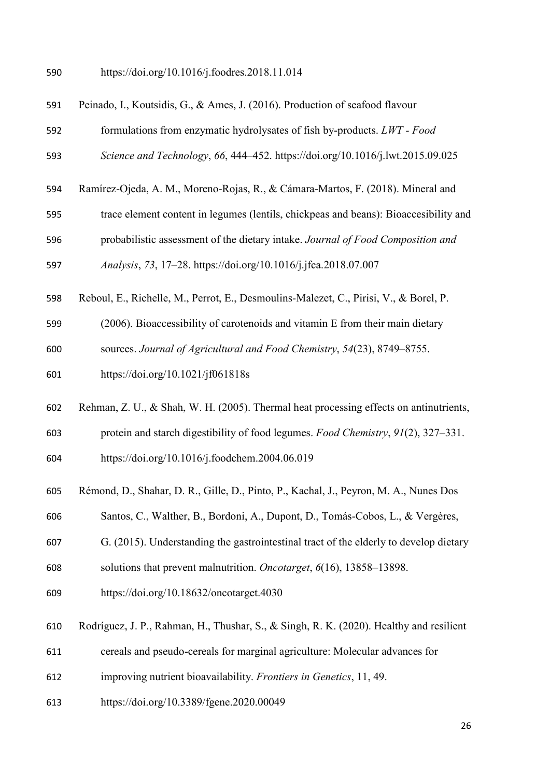https://doi.org/10.1016/j.foodres.2018.11.014

Peinado, I., Koutsidis, G., & Ames, J. (2016). Production of seafood flavour

formulations from enzymatic hydrolysates of fish by-products. *LWT - Food* 

*Science and Technology*, *66*, 444–452. https://doi.org/10.1016/j.lwt.2015.09.025

- Ramírez-Ojeda, A. M., Moreno-Rojas, R., & Cámara-Martos, F. (2018). Mineral and
- trace element content in legumes (lentils, chickpeas and beans): Bioaccesibility and
- probabilistic assessment of the dietary intake. *Journal of Food Composition and*

*Analysis*, *73*, 17–28. https://doi.org/10.1016/j.jfca.2018.07.007

- Reboul, E., Richelle, M., Perrot, E., Desmoulins-Malezet, C., Pirisi, V., & Borel, P.
- (2006). Bioaccessibility of carotenoids and vitamin E from their main dietary
- sources. *Journal of Agricultural and Food Chemistry*, *54*(23), 8749–8755.
- https://doi.org/10.1021/jf061818s
- Rehman, Z. U., & Shah, W. H. (2005). Thermal heat processing effects on antinutrients,
- protein and starch digestibility of food legumes. *Food Chemistry*, *91*(2), 327–331.
- https://doi.org/10.1016/j.foodchem.2004.06.019
- Rémond, D., Shahar, D. R., Gille, D., Pinto, P., Kachal, J., Peyron, M. A., Nunes Dos
- Santos, C., Walther, B., Bordoni, A., Dupont, D., Tomás-Cobos, L., & Vergères,
- G. (2015). Understanding the gastrointestinal tract of the elderly to develop dietary
- solutions that prevent malnutrition. *Oncotarget*, *6*(16), 13858–13898.
- https://doi.org/10.18632/oncotarget.4030
- Rodríguez, J. P., Rahman, H., Thushar, S., & Singh, R. K. (2020). Healthy and resilient
- cereals and pseudo-cereals for marginal agriculture: Molecular advances for
- improving nutrient bioavailability. *Frontiers in Genetics*, 11, 49.
- https://doi.org/10.3389/fgene.2020.00049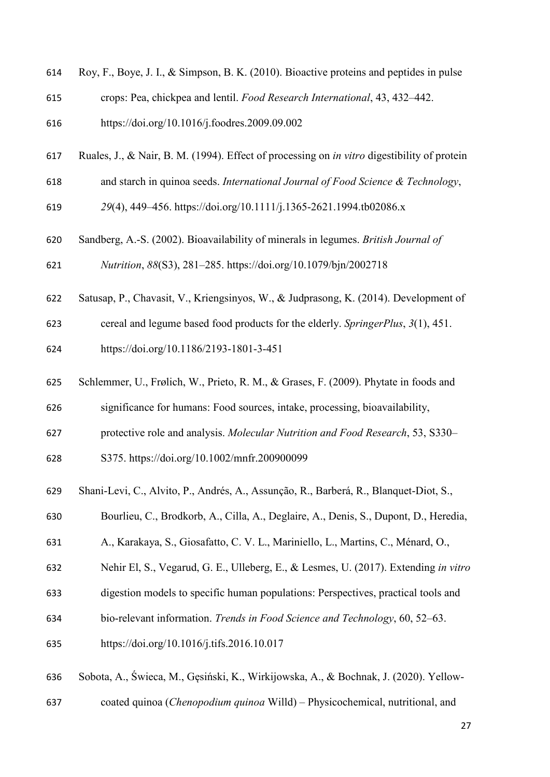- Roy, F., Boye, J. I., & Simpson, B. K. (2010). Bioactive proteins and peptides in pulse
- crops: Pea, chickpea and lentil. *Food Research International*, 43, 432–442.
- https://doi.org/10.1016/j.foodres.2009.09.002
- Ruales, J., & Nair, B. M. (1994). Effect of processing on *in vitro* digestibility of protein
- and starch in quinoa seeds. *International Journal of Food Science & Technology*,
- *29*(4), 449–456. https://doi.org/10.1111/j.1365-2621.1994.tb02086.x
- Sandberg, A.-S. (2002). Bioavailability of minerals in legumes. *British Journal of Nutrition*, *88*(S3), 281–285. https://doi.org/10.1079/bjn/2002718
- Satusap, P., Chavasit, V., Kriengsinyos, W., & Judprasong, K. (2014). Development of
- cereal and legume based food products for the elderly. *SpringerPlus*, *3*(1), 451.
- https://doi.org/10.1186/2193-1801-3-451
- Schlemmer, U., Frølich, W., Prieto, R. M., & Grases, F. (2009). Phytate in foods and
- significance for humans: Food sources, intake, processing, bioavailability,
- protective role and analysis. *Molecular Nutrition and Food Research*, 53, S330–
- S375. https://doi.org/10.1002/mnfr.200900099
- Shani-Levi, C., Alvito, P., Andrés, A., Assunção, R., Barberá, R., Blanquet-Diot, S.,
- Bourlieu, C., Brodkorb, A., Cilla, A., Deglaire, A., Denis, S., Dupont, D., Heredia,
- A., Karakaya, S., Giosafatto, C. V. L., Mariniello, L., Martins, C., Ménard, O.,
- Nehir El, S., Vegarud, G. E., Ulleberg, E., & Lesmes, U. (2017). Extending *in vitro*
- digestion models to specific human populations: Perspectives, practical tools and
- bio-relevant information. *Trends in Food Science and Technology*, 60, 52–63.
- https://doi.org/10.1016/j.tifs.2016.10.017
- Sobota, A., Świeca, M., Gęsiński, K., Wirkijowska, A., & Bochnak, J. (2020). Yellow-
- coated quinoa (*Chenopodium quinoa* Willd) Physicochemical, nutritional, and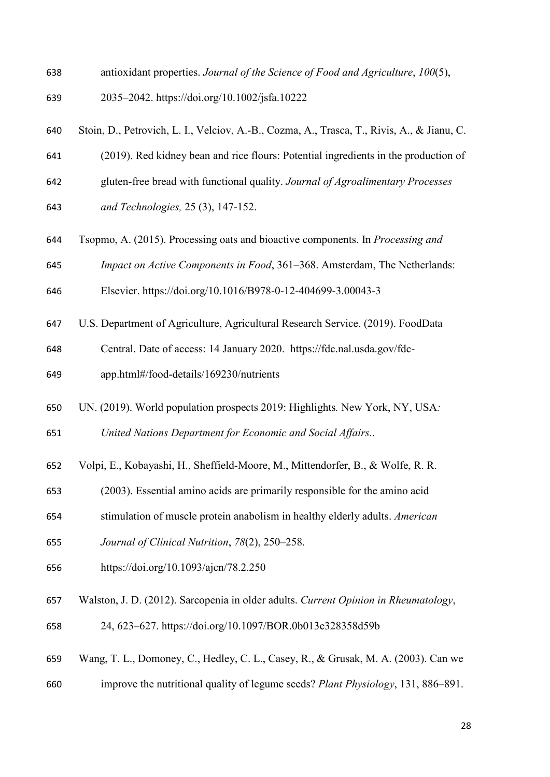- antioxidant properties. *Journal of the Science of Food and Agriculture*, *100*(5),
- 2035–2042. https://doi.org/10.1002/jsfa.10222
- Stoin, D., Petrovich, L. I., Velciov, A.-B., Cozma, A., Trasca, T., Rivis, A., & Jianu, C.
- (2019). Red kidney bean and rice flours: Potential ingredients in the production of
- gluten-free bread with functional quality. *Journal of Agroalimentary Processes*
- *and Technologies,* 25 (3), 147-152.
- Tsopmo, A. (2015). Processing oats and bioactive components. In *Processing and*
- *Impact on Active Components in Food*, 361–368. Amsterdam, The Netherlands:

Elsevier. https://doi.org/10.1016/B978-0-12-404699-3.00043-3

- U.S. Department of Agriculture, Agricultural Research Service. (2019). FoodData
- Central. Date of access: 14 January 2020. https://fdc.nal.usda.gov/fdc-
- app.html#/food-details/169230/nutrients
- UN. (2019). World population prospects 2019: Highlights*.* New York, NY, USA*:*
- *United Nations Department for Economic and Social Affairs.*.
- Volpi, E., Kobayashi, H., Sheffield-Moore, M., Mittendorfer, B., & Wolfe, R. R.
- (2003). Essential amino acids are primarily responsible for the amino acid
- stimulation of muscle protein anabolism in healthy elderly adults. *American*
- *Journal of Clinical Nutrition*, *78*(2), 250–258.
- https://doi.org/10.1093/ajcn/78.2.250
- Walston, J. D. (2012). Sarcopenia in older adults. *Current Opinion in Rheumatology*,
- 24, 623–627. https://doi.org/10.1097/BOR.0b013e328358d59b
- Wang, T. L., Domoney, C., Hedley, C. L., Casey, R., & Grusak, M. A. (2003). Can we
- improve the nutritional quality of legume seeds? *Plant Physiology*, 131, 886–891.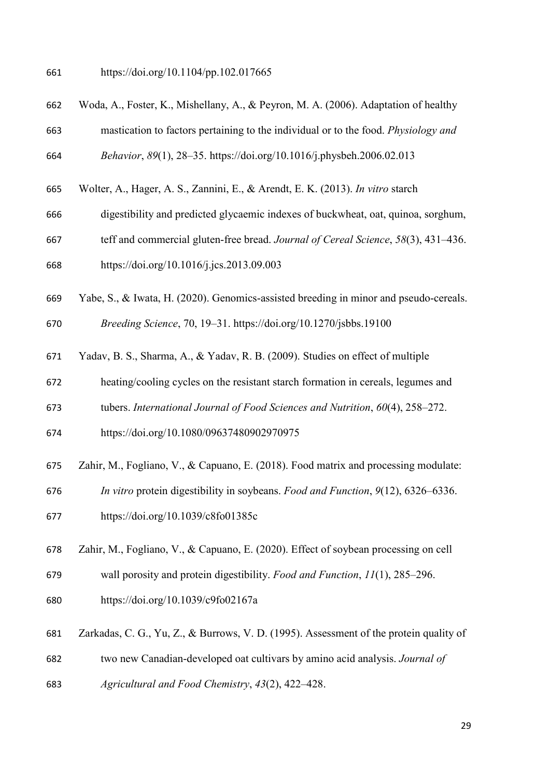https://doi.org/10.1104/pp.102.017665

- Woda, A., Foster, K., Mishellany, A., & Peyron, M. A. (2006). Adaptation of healthy
- mastication to factors pertaining to the individual or to the food. *Physiology and Behavior*, *89*(1), 28–35. https://doi.org/10.1016/j.physbeh.2006.02.013
- Wolter, A., Hager, A. S., Zannini, E., & Arendt, E. K. (2013). *In vitro* starch
- digestibility and predicted glycaemic indexes of buckwheat, oat, quinoa, sorghum,
- teff and commercial gluten-free bread. *Journal of Cereal Science*, *58*(3), 431–436.
- https://doi.org/10.1016/j.jcs.2013.09.003
- Yabe, S., & Iwata, H. (2020). Genomics-assisted breeding in minor and pseudo-cereals.

*Breeding Science*, 70, 19–31. https://doi.org/10.1270/jsbbs.19100

- Yadav, B. S., Sharma, A., & Yadav, R. B. (2009). Studies on effect of multiple
- heating/cooling cycles on the resistant starch formation in cereals, legumes and
- tubers. *International Journal of Food Sciences and Nutrition*, *60*(4), 258–272.
- https://doi.org/10.1080/09637480902970975
- Zahir, M., Fogliano, V., & Capuano, E. (2018). Food matrix and processing modulate:
- *In vitro* protein digestibility in soybeans. *Food and Function*, *9*(12), 6326–6336.
- https://doi.org/10.1039/c8fo01385c
- Zahir, M., Fogliano, V., & Capuano, E. (2020). Effect of soybean processing on cell

wall porosity and protein digestibility. *Food and Function*, *11*(1), 285–296.

- https://doi.org/10.1039/c9fo02167a
- Zarkadas, C. G., Yu, Z., & Burrows, V. D. (1995). Assessment of the protein quality of
- two new Canadian-developed oat cultivars by amino acid analysis. *Journal of*
- *Agricultural and Food Chemistry*, *43*(2), 422–428.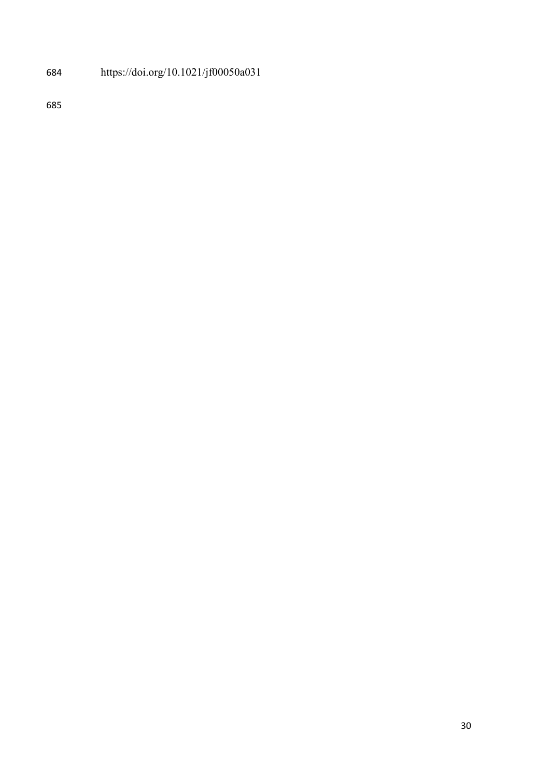# https://doi.org/10.1021/jf00050a031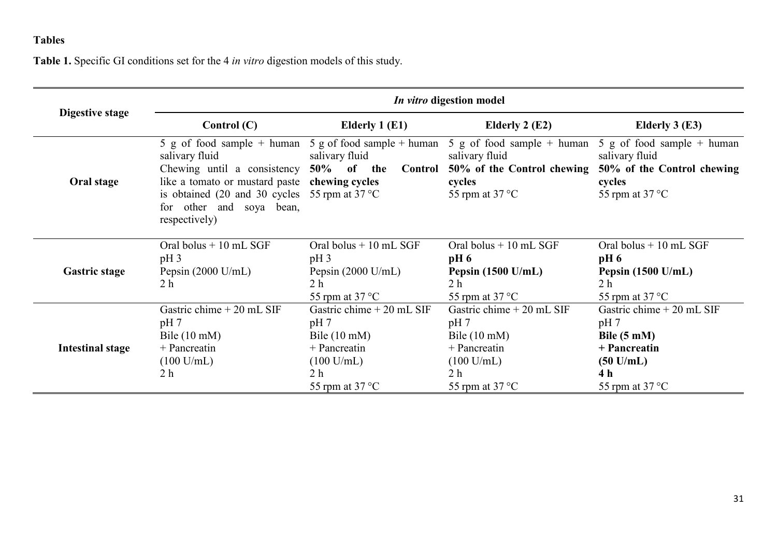# **Tables**

**Table 1.** Specific GI conditions set for the 4 *in vitro* digestion models of this study.

|                         | <i>In vitro</i> digestion model                                                                                                                                                                                                                                               |                                                                                                                                                      |                                                                                                                                                      |                                                                                                                                                  |  |  |  |  |  |
|-------------------------|-------------------------------------------------------------------------------------------------------------------------------------------------------------------------------------------------------------------------------------------------------------------------------|------------------------------------------------------------------------------------------------------------------------------------------------------|------------------------------------------------------------------------------------------------------------------------------------------------------|--------------------------------------------------------------------------------------------------------------------------------------------------|--|--|--|--|--|
| Digestive stage         | Control $(C)$                                                                                                                                                                                                                                                                 | Elderly 1 (E1)                                                                                                                                       | Elderly 2 $(E2)$                                                                                                                                     | Elderly $3(E3)$                                                                                                                                  |  |  |  |  |  |
| Oral stage              | 5 g of food sample + human 5 g of food sample + human<br>salivary fluid<br>Chewing until a consistency $50\%$ of the<br>like a tomato or mustard paste chewing cycles<br>is obtained (20 and 30 cycles 55 rpm at $37^{\circ}$ C)<br>for other and soya bean,<br>respectively) | salivary fluid<br>Control                                                                                                                            | 5 g of food sample $+$ human<br>salivary fluid<br>50% of the Control chewing<br>cycles<br>55 rpm at $37^{\circ}$ C                                   | 5 g of food sample $+$ human<br>salivary fluid<br>50% of the Control chewing<br>cycles<br>55 rpm at $37^{\circ}$ C                               |  |  |  |  |  |
| <b>Gastric stage</b>    | Oral bolus $+10$ mL SGF<br>$pH_3$<br>Pepsin $(2000 \text{ U/mL})$<br>2 <sub>h</sub>                                                                                                                                                                                           | Oral bolus $+10$ mL SGF<br>$pH_3$<br>Pepsin $(2000 \text{ U/mL})$<br>2 <sub>h</sub><br>55 rpm at $37^{\circ}$ C                                      | Oral bolus $+10$ mL SGF<br>$pH_6$<br>Pepsin $(1500 \text{ U/mL})$<br>2 <sub>h</sub><br>55 rpm at $37^{\circ}$ C                                      | Oral bolus $+10$ mL SGF<br>$pH_6$<br>Pepsin $(1500 \text{ U/mL})$<br>2 <sub>h</sub><br>55 rpm at $37^{\circ}$ C                                  |  |  |  |  |  |
| <b>Intestinal stage</b> | Gastric chime $+20$ mL SIF<br>pH 7<br>Bile $(10 \text{ mM})$<br>$+$ Pancreatin<br>$(100 \text{ U/mL})$<br>2 <sub>h</sub>                                                                                                                                                      | Gastric chime $+20$ mL SIF<br>pH 7<br>Bile $(10 \text{ mM})$<br>$+$ Pancreatin<br>$(100 \text{ U/mL})$<br>2 <sub>h</sub><br>55 rpm at $37^{\circ}$ C | Gastric chime $+20$ mL SIF<br>pH 7<br>Bile $(10 \text{ mM})$<br>$+$ Pancreatin<br>$(100 \text{ U/mL})$<br>2 <sub>h</sub><br>55 rpm at $37^{\circ}$ C | Gastric chime $+20$ mL SIF<br>pH <sub>7</sub><br>Bile $(5 \text{ mM})$<br>+ Pancreatin<br>$(50 \text{ U/mL})$<br>4 h<br>55 rpm at $37^{\circ}$ C |  |  |  |  |  |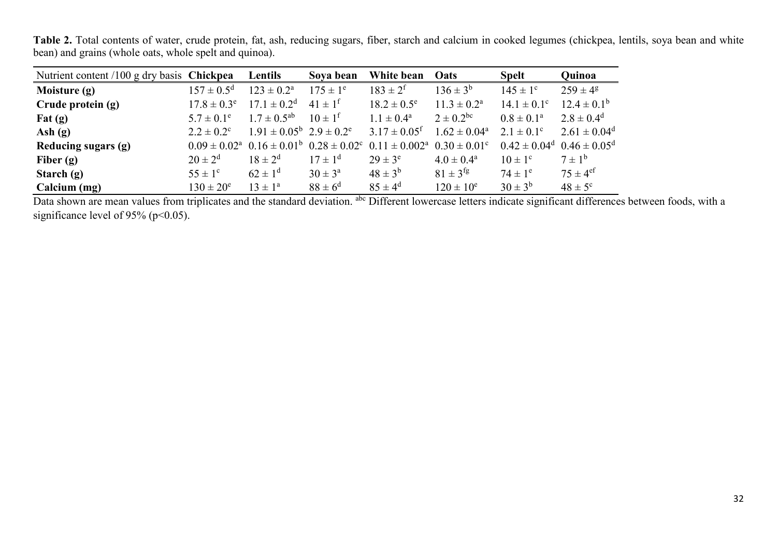**Table 2.** Total contents of water, crude protein, fat, ash, reducing sugars, fiber, starch and calcium in cooked legumes (chickpea, lentils, soya bean and white bean) and grains (whole oats, whole spelt and quinoa).

| Nutrient content /100 g dry basis Chickpea |                         | Lentils                                               | Soya bean               | White bean                   | Oats                       | <b>Spelt</b>            | Quinoa                   |
|--------------------------------------------|-------------------------|-------------------------------------------------------|-------------------------|------------------------------|----------------------------|-------------------------|--------------------------|
| Moisture (g)                               | $157 \pm 0.5^{\rm d}$   | $123 \pm 0.2^{\rm a}$                                 | $175 \pm 1^e$           | $183 \pm 2^{f}$              | $136 \pm 3^{b}$            | $145 \pm 1^{\circ}$     | $259 \pm 4^{\circ}$      |
| Crude protein (g)                          | $17.8 \pm 0.3^e$        | $17.1 \pm 0.2^d$                                      | $41 \pm 1^{\rm f}$      | $18.2 \pm 0.5^e$             | $11.3 \pm 0.2^{\rm a}$     | $14.1 \pm 0.1^{\circ}$  | $12.4 \pm 0.1^b$         |
| $\text{Fat}(\mathbf{g})$                   | $5.7 \pm 0.1^e$         | $1.7 \pm 0.5^{ab}$                                    | $10 \pm 1^{\rm f}$      | $1.1 \pm 0.4^{\text{a}}$     | $2 \pm 0.2^{\rm bc}$       | $0.8 \pm 0.1^{\rm a}$   | $2.8 \pm 0.4^d$          |
| Ash $(g)$                                  | $2.2 \pm 0.2^{\circ}$   | $1.91 \pm 0.05^{\rm b}$ $2.9 \pm 0.2^{\rm e}$         |                         | $3.17 \pm 0.05$ <sup>f</sup> | $1.62 \pm 0.04^{\text{a}}$ | $2.1 \pm 0.1^{\circ}$   | $2.61 \pm 0.04^d$        |
| Reducing sugars (g)                        |                         | $0.09 \pm 0.02^{\text{a}}$ $0.16 \pm 0.01^{\text{b}}$ | $0.28 \pm 0.02^{\circ}$ | $0.11 \pm 0.002^{\rm a}$     | $0.30 \pm 0.01^{\circ}$    | $0.42 \pm 0.04^d$       | $0.46 \pm 0.05^{\rm d}$  |
| Fiber $(g)$                                | $20 \pm 2^{d}$          | $18 \pm 2^{d}$                                        | $17 \pm 1^{d}$          | $29 \pm 3^e$                 | $4.0 \pm 0.4^{\rm a}$      | $10 \pm 1$ <sup>c</sup> | $7 \pm 1^{\rm b}$        |
| Starch $(g)$                               | $55 \pm 1$ <sup>c</sup> | $62 \pm 1^d$                                          | $30 \pm 3^{\rm a}$      | $48 \pm 3^{6}$               | $81 \pm 3$ <sup>fg</sup>   | $74 \pm 1^e$            | $75 \pm 4$ <sup>ef</sup> |
| Calcium (mg)                               | $130 \pm 20^e$          | $13 \pm 1^{\rm a}$                                    | $88 \pm 6^{\rm d}$      | $85 \pm 4^{\rm d}$           | $120 \pm 10^e$             | $30 \pm 3^b$            | $48 \pm 5^{\circ}$       |

Data shown are mean values from triplicates and the standard deviation. <sup>abc</sup> Different lowercase letters indicate significant differences between foods, with a significance level of 95% ( $p<0.05$ ).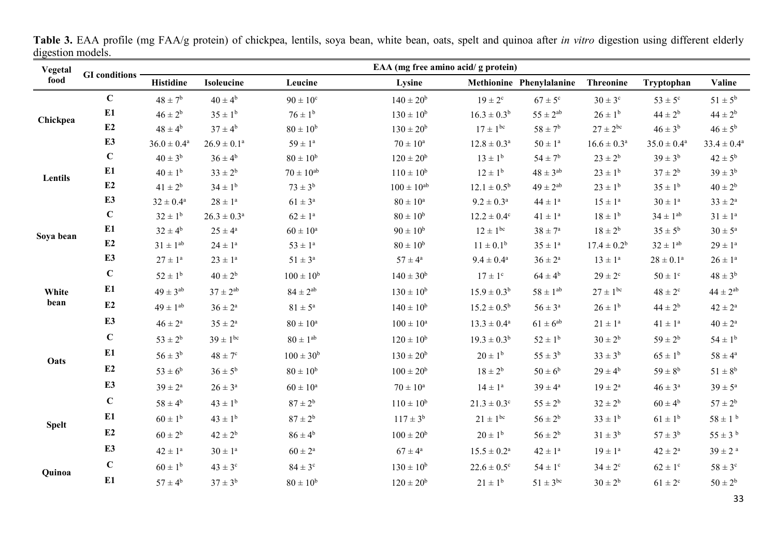| Vegetal      |                      | EAA (mg free amino acid/ g protein) |                         |                      |                      |                         |                          |                        |                         |                         |  |  |
|--------------|----------------------|-------------------------------------|-------------------------|----------------------|----------------------|-------------------------|--------------------------|------------------------|-------------------------|-------------------------|--|--|
| food         | <b>GI</b> conditions | <b>Histidine</b>                    | <b>Isoleucine</b>       | Leucine              | Lysine               |                         | Methionine Phenylalanine | <b>Threonine</b>       | Tryptophan              | Valine                  |  |  |
|              | $\mathbf C$          | $48 \pm 7^{\rm b}$                  | $40 \pm 4^b$            | $90 \pm 10^{\circ}$  | $140 \pm 20^b$       | $19 \pm 2^{\circ}$      | $67 \pm 5^{\circ}$       | $30 \pm 3^{\circ}$     | $53 \pm 5^{\circ}$      | $51 \pm 5^{\rm b}$      |  |  |
| Chickpea     | E1                   | $46 \pm 2^b$                        | $35 \pm 1^b$            | $76 \pm 1^b$         | $130 \pm 10^{6}$     | $16.3 \pm 0.3^b$        | $55 \pm 2^{ab}$          | $26 \pm 1^b$           | $44 \pm 2^b$            | $44 \pm 2^{b}$          |  |  |
|              | E2                   | $48 \pm 4^{\rm b}$                  | $37 \pm 4^b$            | $80\pm10^{\rm b}$    | $130 \pm 20^b$       | $17 \pm 1^{\rm bc}$     | $58 \pm 7^{\rm b}$       | $27 \pm 2^{bc}$        | $46 \pm 3^b$            | $46 \pm 5^b$            |  |  |
|              | E3                   | $36.0 \pm 0.4$ <sup>a</sup>         | $26.9 \pm 0.1^{\rm a}$  | $59\pm1^{\rm a}$     | $70\pm10^{\rm a}$    | $12.8 \pm 0.3^{\rm a}$  | $50 \pm 1^a$             | $16.6 \pm 0.3^{\rm a}$ | $35.0 \pm 0.4^{\rm a}$  | $33.4 \pm 0.4^{\rm a}$  |  |  |
|              | $\mathbf C$          | $40 \pm 3^b$                        | $36 \pm 4^b$            | $80 \pm 10^{b}$      | $120 \pm 20^b$       | $13 \pm 1^{b}$          | $54 \pm 7^{\rm b}$       | $23 \pm 2^b$           | $39 \pm 3^{b}$          | $42 \pm 5^{\rm b}$      |  |  |
| Lentils      | E1                   | $40 \pm 1^b$                        | $33 \pm 2^b$            | $70 \pm 10^{ab}$     | $110 \pm 10^{6}$     | $12 \pm 1^{\rm b}$      | $48 \pm 3^{\rm ab}$      | $23 \pm 1^{b}$         | $37 \pm 2^b$            | $39 \pm 3^{b}$          |  |  |
|              | E2                   | $41 \pm 2^b$                        | $34 \pm 1^b$            | $73 \pm 3^b$         | $100 \pm 10^{ab}$    | $12.1 \pm 0.5^{\rm b}$  | $49 \pm 2^\text{ab}$     | $23 \pm 1^{b}$         | $35 \pm 1^{\rm b}$      | $40 \pm 2^{b}$          |  |  |
|              | E3                   | $32 \pm 0.4^{\rm a}$                | $28\pm1^{\rm a}$        | $61 \pm 3^{\rm a}$   | $80\pm10^{\rm a}$    | $9.2 \pm 0.3^{\rm a}$   | $44 \pm 1^a$             | $15 \pm 1^a$           | $30\pm1^{\rm a}$        | $33 \pm 2^a$            |  |  |
|              | $\mathbf C$          | $32 \pm 1^b$                        | $26.3 \pm 0.3^a$        | $62 \pm 1^a$         | $80 \pm 10^{6}$      | $12.2 \pm 0.4^{\circ}$  | $41 \pm 1^a$             | $18 \pm 1^{b}$         | $34 \pm 1^{ab}$         | $31 \pm 1^a$            |  |  |
| Soya bean    | E1                   | $32 \pm 4^b$                        | $25 \pm 4^{\mathrm{a}}$ | $60 \pm 10^{\rm a}$  | $90 \pm 10^{b}$      | $12 \pm 1^{bc}$         | $38 \pm 7^{\rm a}$       | $18 \pm 2^{b}$         | $35 \pm 5^{\rm b}$      | $30 \pm 5^{\rm a}$      |  |  |
|              | E2                   | $31 \pm 1^{ab}$                     | $24 \pm 1^a$            | $53 \pm 1^{\rm a}$   | $80 \pm 10^{b}$      | $11 \pm 0.1^b$          | $35\pm1^{\rm a}$         | $17.4 \pm 0.2^b$       | $32 \pm 1^{ab}$         | $29 \pm 1^{\rm a}$      |  |  |
|              | E <sub>3</sub>       | $27\pm1^{\rm a}$                    | $23\pm1^{\rm a}$        | $51\pm3^{\rm a}$     | $57\pm4^{\rm a}$     | $9.4 \pm 0.4^{\rm a}$   | $36\pm2^{\rm a}$         | $13 \pm 1^a$           | $28\pm0.1^{\rm a}$      | $26\pm1^{\rm a}$        |  |  |
|              | $\mathbf C$          | $52 \pm 1^{\rm b}$                  | $40 \pm 2^b$            | $100 \pm 10^{b}$     | $140 \pm 30^b$       | $17 \pm 1$ <sup>c</sup> | $64 \pm 4^b$             | $29 \pm 2^{\circ}$     | $50 \pm 1$ <sup>c</sup> | $48 \pm 3^b$            |  |  |
| White        | E1                   | $49 \pm 3^{ab}$                     | $37 \pm 2^{ab}$         | $84 \pm 2^{ab}$      | $130 \pm 10^{b}$     | $15.9 \pm 0.3^b$        | $58\pm1^{\rm ab}$        | $27 \pm 1^{\rm bc}$    | $48 \pm 2^{\rm c}$      | $44 \pm 2^{ab}$         |  |  |
| bean         | E2                   | $49 \pm 1^{ab}$                     | $36 \pm 2^{\mathrm{a}}$ | $81 \pm 5^{\circ}$   | $140 \pm 10^{b}$     | $15.2 \pm 0.5^{\rm b}$  | $56 \pm 3^{\rm a}$       | $26 \pm 1^{b}$         | $44 \pm 2^b$            | $42 \pm 2^a$            |  |  |
|              | E3                   | $46 \pm 2^a$                        | $35 \pm 2^{\mathrm{a}}$ | $80 \pm 10^{\rm a}$  | $100\pm10^{\rm a}$   | $13.3 \pm 0.4^{\rm a}$  | $61 \pm 6^{ab}$          | $21 \pm 1^a$           | $41 \pm 1^a$            | $40\pm2^{\rm a}$        |  |  |
|              | $\mathbf C$          | $53 \pm 2^b$                        | $39 \pm 1^{bc}$         | $80\pm1^{\rm ab}$    | $120 \pm 10^{6}$     | $19.3 \pm 0.3^b$        | $52 \pm 1^{\rm b}$       | $30 \pm 2^b$           | $59 \pm 2^{b}$          | $54 \pm 1^b$            |  |  |
| Oats         | E1                   | $56\pm3^{\rm b}$                    | $48 \pm 7^{\circ}$      | $100 \pm 30^{\rm b}$ | $130 \pm 20^b$       | $20 \pm 1^b$            | $55\pm3^{\rm b}$         | $33\pm3^{\rm b}$       | $65 \pm 1^{\rm b}$      | $58\pm4^{\rm a}$        |  |  |
|              | E2                   | $53\pm6^{\rm b}$                    | $36 \pm 5^b$            | $80 \pm 10^b$        | $100 \pm 20^{\rm b}$ | $18 \pm 2^{b}$          | $50 \pm 6^b$             | $29 \pm 4^b$           | $59 \pm 8^b$            | $51\pm8^{\rm b}$        |  |  |
|              | E3                   | $39 \pm 2^a$                        | $26 \pm 3^a$            | $60 \pm 10^{\rm a}$  | $70\pm10^{\rm a}$    | $14\pm1^{\rm a}$        | $39 \pm 4^a$             | $19 \pm 2^{\rm a}$     | $46 \pm 3^a$            | $39 \pm 5^{\rm a}$      |  |  |
|              | $\mathbf C$          | $58 \pm 4^{\rm b}$                  | $43 \pm 1^b$            | $87 \pm 2^b$         | $110 \pm 10^{b}$     | $21.3 \pm 0.3^{\circ}$  | $55 \pm 2^{b}$           | $32 \pm 2^b$           | $60 \pm 4^b$            | $57 \pm 2^b$            |  |  |
| <b>Spelt</b> | E1                   | $60 \pm 1^{\rm b}$                  | $43 \pm 1^{b}$          | $87 \pm 2^b$         | $117 \pm 3^{b}$      | $21 \pm 1^{bc}$         | $56 \pm 2^{b}$           | $33 \pm 1^{b}$         | $61 \pm 1^{b}$          | $58 \pm 1$ b            |  |  |
|              | E2                   | $60 \pm 2^b$                        | $42 \pm 2^b$            | $86 \pm 4^b$         | $100 \pm 20^{\rm b}$ | $20 \pm 1^b$            | $56 \pm 2^b$             | $31 \pm 3^b$           | $57 \pm 3^b$            | $55 \pm 3^{b}$          |  |  |
|              | E <sub>3</sub>       | $42 \pm 1^a$                        | $30 \pm 1^a$            | $60\pm2^{\rm a}$     | $67\pm4^{\rm a}$     | $15.5 \pm 0.2^{\rm a}$  | $42 \pm 1^a$             | $19 \pm 1^a$           | $42 \pm 2^a$            | $39 \pm 2$ <sup>a</sup> |  |  |
| Quinoa       | $\mathbf C$          | $60 \pm 1^b$                        | $43 \pm 3^{\circ}$      | $84 \pm 3^{\circ}$   | $130 \pm 10^{6}$     | $22.6 \pm 0.5^{\circ}$  | $54 \pm 1$ <sup>c</sup>  | $34\pm2^{\rm c}$       | $62 \pm 1$ <sup>c</sup> | $58 \pm 3^{\rm c}$      |  |  |
|              | E1                   | $57\pm4^{\rm b}$                    | $37 \pm 3^b$            | $80 \pm 10^{b}$      | $120 \pm 20^{\rm b}$ | $21 \pm 1^b$            | $51 \pm 3^{bc}$          | $30 \pm 2^{b}$         | $61 \pm 2^{\rm c}$      | $50 \pm 2^b$            |  |  |

**Table 3.** EAA profile (mg FAA/g protein) of chickpea, lentils, soya bean, white bean, oats, spelt and quinoa after *in vitro* digestion using different elderly digestion models.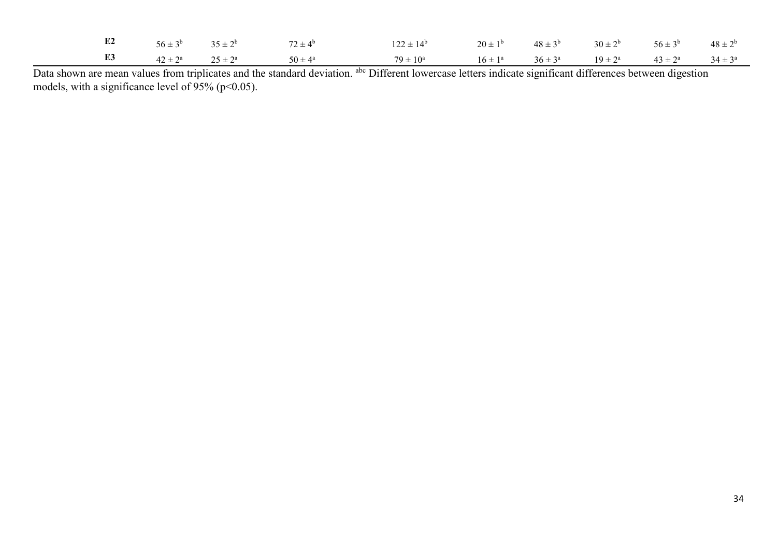|  |  | <b>E2</b> $56 \pm 3^b$ $35 \pm 2^b$ $72 \pm 4^b$ $122 \pm 14^b$ $20 \pm 1^b$ $48 \pm 3^b$ $30 \pm 2^b$ $56 \pm 3^b$ $48 \pm 2^b$ |  |  |  |
|--|--|----------------------------------------------------------------------------------------------------------------------------------|--|--|--|
|  |  | <b>E3</b> $42 \pm 2^a$ $25 \pm 2^a$ $50 \pm 4^a$ $79 \pm 10^a$ $16 \pm 1^a$ $36 \pm 3^a$ $19 \pm 2^a$ $43 \pm 2^a$ $34 \pm 3^a$  |  |  |  |

Data shown are mean values from triplicates and the standard deviation. <sup>abc</sup> Different lowercase letters indicate significant differences between digestion models, with a significance level of  $95\%$  (p<0.05).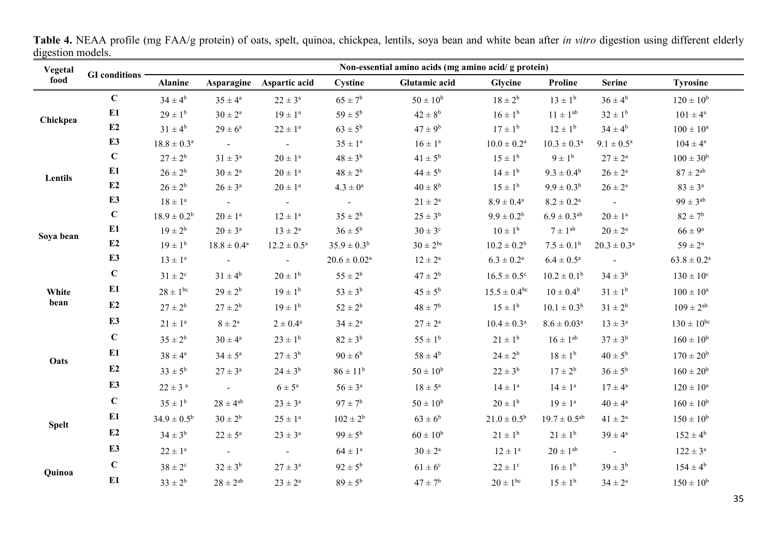| Vegetal      | $\mathbf{u}_1$ , which invarion | Non-essential amino acids (mg amino acid/ g protein) |                         |                             |                       |                    |                         |                        |                        |                      |  |  |
|--------------|---------------------------------|------------------------------------------------------|-------------------------|-----------------------------|-----------------------|--------------------|-------------------------|------------------------|------------------------|----------------------|--|--|
| food         | <b>GI</b> conditions            | <b>Alanine</b>                                       |                         | Asparagine Aspartic acid    | Cystine               | Glutamic acid      | Glycine                 | Proline                | <b>Serine</b>          | <b>Tyrosine</b>      |  |  |
|              | $\mathbf C$                     | $34 \pm 4^b$                                         | $35 \pm 4^{\mathrm{a}}$ | $22 \pm 3^{\rm a}$          | $65 \pm 7^b$          | $50\pm10^{\rm b}$  | $18 \pm 2^b$            | $13 \pm 1^{b}$         | $36 \pm 4^{\rm b}$     | $120 \pm 10^b$       |  |  |
| Chickpea     | E1                              | $29 \pm 1^{b}$                                       | $30\pm2^{\rm a}$        | $19\pm1^{\rm a}$            | $59 \pm 5^{\rm b}$    | $42\pm8^{\rm b}$   | $16 \pm 1^{6}$          | $11 \pm 1^{ab}$        | $32 \pm 1^b$           | $101 \pm 4^{\rm a}$  |  |  |
|              | E2                              | $31 \pm 4^b$                                         | $29\pm6^{\rm a}$        | $22\pm1^{\rm a}$            | $63\pm5^{\rm b}$      | $47 \pm 9^b$       | $17 \pm 1^{b}$          | $12 \pm 1^{\rm b}$     | $34 \pm 4^{\rm b}$     | $100\pm10^{\rm a}$   |  |  |
|              | E3                              | $18.8 \pm 0.3^{\rm a}$                               | $\blacksquare$          | $\equiv$                    | $35\pm1^{\rm a}$      | $16 \pm 1^a$       | $10.0 \pm 0.2^{\rm a}$  | $10.3 \pm 0.3^{\rm a}$ | $9.1\pm0.5^{\rm a}$    | $104 \pm 4^a$        |  |  |
| Lentils      | $\mathbf C$                     | $27 \pm 2^b$                                         | $31 \pm 3^a$            | $20\pm1^{\rm a}$            | $48 \pm 3^b$          | $41 \pm 5^{\rm b}$ | $15 \pm 1^{b}$          | $9 \pm 1^b$            | $27\pm2^{\rm a}$       | $100\pm30^{\rm b}$   |  |  |
|              | E1                              | $26 \pm 2^b$                                         | $30\pm2^{\rm a}$        | $20\pm1^{\rm a}$            | $48 \pm 2^b$          | $44 \pm 5^b$       | $14 \pm 1^{b}$          | $9.3 \pm 0.4^b$        | $26\pm2^{\rm a}$       | $87\pm2^{\rm ab}$    |  |  |
|              | E2                              | $26 \pm 2^b$                                         | $26 \pm 3^{\rm a}$      | $20\pm1^{\rm a}$            | $4.3\pm0^{\rm a}$     | $40\pm8^{\rm b}$   | $15 \pm 1^{\rm b}$      | $9.9 \pm 0.3^b$        | $26\pm2^{\rm a}$       | $83 \pm 3^a$         |  |  |
|              | E3                              | $18\pm1^{\rm a}$                                     | $\sim$                  | $\mathcal{L}_{\mathcal{A}}$ |                       | $21\pm2^{\rm a}$   | $8.9\pm0.4^{\rm a}$     | $8.2 \pm 0.2^{\rm a}$  |                        | $99 \pm 3^\text{ab}$ |  |  |
| Soya bean    | $\mathbf C$                     | $18.9 \pm 0.2^b$                                     | $20\pm1^{\rm a}$        | $12 \pm 1^a$                | $35 \pm 2^b$          | $25 \pm 3^b$       | $9.9 \pm 0.2^b$         | $6.9\pm0.3^{\rm ab}$   | $20\pm1^{\rm a}$       | $82 \pm 7^{\rm b}$   |  |  |
|              | E1                              | $19 \pm 2^{b}$                                       | $20 \pm 3^{\rm a}$      | $13 \pm 2^a$                | $36 \pm 5^b$          | $30 \pm 3^{\circ}$ | $10 \pm 1^{\rm b}$      | $7 \pm 1^{\rm ab}$     | $20\pm2^{\rm a}$       | $66 \pm 9^{\rm a}$   |  |  |
|              | E2                              | $19 \pm 1^b$                                         | $18.8 \pm 0.4^{\rm a}$  | $12.2 \pm 0.5^{\rm a}$      | $35.9 \pm 0.3^b$      | $30 \pm 2^{bc}$    | $10.2 \pm 0.2^b$        | $7.5 \pm 0.1^{\rm b}$  | $20.3 \pm 0.3^{\rm a}$ | $59 \pm 2^{\rm a}$   |  |  |
|              | E3                              | $13\pm1^{\rm a}$                                     |                         |                             | $20.6\pm0.02^{\rm a}$ | $12\pm2^{\rm a}$   | $6.3 \pm 0.2^{\rm a}$   | $6.4 \pm 0.5^{\rm a}$  |                        | $63.8\pm0.2^{\rm a}$ |  |  |
|              | $\mathbf C$                     | $31 \pm 2^{\circ}$                                   | $31 \pm 4^b$            | $20 \pm 1^b$                | $55\pm2^{\rm b}$      | $47 \pm 2^b$       | $16.5 \pm 0.5^{\circ}$  | $10.2 \pm 0.1^{\rm b}$ | $34 \pm 3^b$           | $130 \pm 10^{\circ}$ |  |  |
| White        | E1                              | $28 \pm 1^{bc}$                                      | $29 \pm 2^b$            | $19 \pm 1^{b}$              | $53\pm3^{\rm b}$      | $45 \pm 5^{\rm b}$ | $15.5 \pm 0.4^{\rm bc}$ | $10 \pm 0.4^{\rm b}$   | $31 \pm 1^{b}$         | $100\pm10^{\rm a}$   |  |  |
| bean         | E2                              | $27 \pm 2^b$                                         | $27\pm2^{\rm b}$        | $19 \pm 1^{b}$              | $52\pm2^{\rm b}$      | $48 \pm 7^{\rm b}$ | $15 \pm 1^{\rm b}$      | $10.1 \pm 0.3^b$       | $31 \pm 2^b$           | $109 \pm 2^{ab}$     |  |  |
|              | E3                              | $21\pm1^{\rm a}$                                     | $8\pm2^{\rm a}$         | $2\pm0.4^{\rm a}$           | $34\pm2^{\rm a}$      | $27 \pm 2^{\rm a}$ | $10.4 \pm 0.3^{\rm a}$  | $8.6 \pm 0.03^a$       | $13 \pm 3^a$           | $130 \pm 10^{bc}$    |  |  |
|              | $\mathbf C$                     | $35 \pm 2^b$                                         | $30\pm4^{\rm a}$        | $23 \pm 1^{b}$              | $82 \pm 3^b$          | $55 \pm 1^{b}$     | $21 \pm 1^{b}$          | $16 \pm 1^{ab}$        | $37 \pm 3^b$           | $160 \pm 10^{b}$     |  |  |
| Oats         | E1                              | $38 \pm 4^{\rm a}$                                   | $34 \pm 5^{\mathrm{a}}$ | $27 \pm 3^b$                | $90 \pm 6^b$          | $58 \pm 4^b$       | $24 \pm 2^b$            | $18 \pm 1^{b}$         | $40 \pm 5^b$           | $170 \pm 20^{\rm b}$ |  |  |
|              | E2                              | $33 \pm 5^b$                                         | $27 \pm 3^{\rm a}$      | $24 \pm 3^{b}$              | $86 \pm 11^b$         | $50\pm10^{\rm b}$  | $22 \pm 3^b$            | $17 \pm 2^b$           | $36 \pm 5^b$           | $160 \pm 20^b$       |  |  |
|              | E3                              | $22\pm3$ $^{\rm a}$                                  |                         | $6\pm5^{\rm a}$             | $56 \pm 3^{\rm a}$    | $18\pm5^{\rm a}$   | $14\pm1^{\rm a}$        | $14\pm1^{\rm a}$       | $17 \pm 4^{\rm a}$     | $120\pm10^{\rm a}$   |  |  |
|              | $\mathbf C$                     | $35 \pm 1^b$                                         | $28\pm4^{\rm ab}$       | $23\pm3^{\rm a}$            | $97 \pm 7^b$          | $50\pm10^{\rm b}$  | $20 \pm 1^b$            | $19\pm1^{\rm a}$       | $40\pm4^{\rm a}$       | $160 \pm 10^{b}$     |  |  |
| <b>Spelt</b> | E1                              | $34.9 \pm 0.5^{\rm b}$                               | $30 \pm 2^b$            | $25\pm1^{\rm a}$            | $102 \pm 2^b$         | $63 \pm 6^b$       | $21.0 \pm 0.5^b$        | $19.7 \pm 0.5^{ab}$    | $41\pm2^{\rm a}$       | $150 \pm 10^{b}$     |  |  |
|              | E2                              | $34 \pm 3^{b}$                                       | $22 \pm 5^{\rm a}$      | $23\pm3^{\rm a}$            | $99 \pm 5^b$          | $60\pm10^{\rm b}$  | $21 \pm 1^b$            | $21 \pm 1^b$           | $39 \pm 4^a$           | $152 \pm 4^b$        |  |  |
|              | E3                              | $22\pm1^{\rm a}$                                     | $\sim$                  | $\pm$ .                     | $64\pm1^{\rm a}$      | $30\pm2^{\rm a}$   | $12 \pm 1^{\circ}$      | $20 \pm 1^{ab}$        | $\sim 100$             | $122 \pm 3^{\rm a}$  |  |  |
|              | $\mathbf C$                     | $38 \pm 2^{\circ}$                                   | $32 \pm 3^b$            | $27 \pm 3^{\rm a}$          | $92 \pm 5^{\rm b}$    | $61 \pm 6^{\circ}$ | $22 \pm 1$ <sup>c</sup> | $16 \pm 1^{6}$         | $39 \pm 3^b$           | $154 \pm 4^b$        |  |  |
| Quinoa       | E1                              | $33 \pm 2^b$                                         | $28\pm2^{\rm ab}$       | $23 \pm 2^{\rm a}$          | $89 \pm 5^b$          | $47 \pm 7^{\rm b}$ | $20 \pm 1^{bc}$         | $15 \pm 1^{b}$         | $34 \pm 2^a$           | $150 \pm 10^b$       |  |  |

**Table 4.** NEAA profile (mg FAA/g protein) of oats, spelt, quinoa, chickpea, lentils, soya bean and white bean after *in vitro* digestion using different elderly digestion models.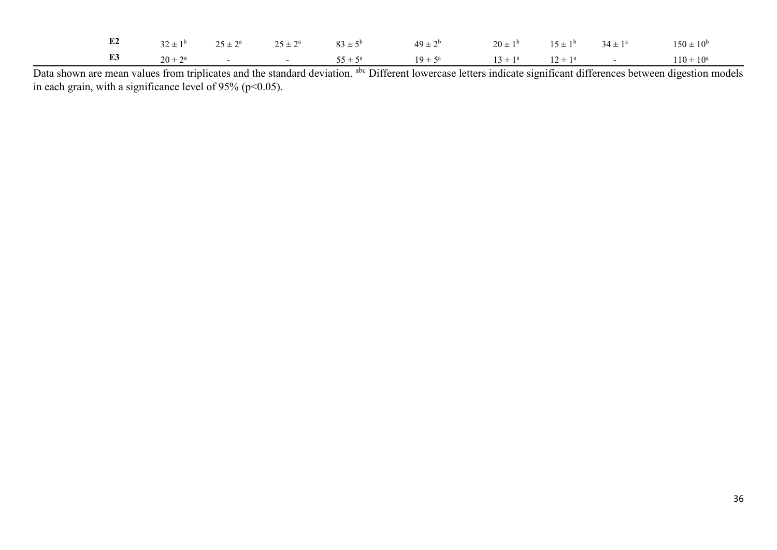|  |  | <b>E2</b> $32 \pm 1^b$ $25 \pm 2^a$ $25 \pm 2^a$ $83 \pm 5^b$ $49 \pm 2^b$ $20 \pm 1^b$ $15 \pm 1^b$ $34 \pm 1^a$ $150 \pm 10^b$ |  |  |  |
|--|--|----------------------------------------------------------------------------------------------------------------------------------|--|--|--|
|  |  | <b>E3</b> $20 \pm 2^a$ - $55 \pm 5^a$ $19 \pm 5^a$ $13 \pm 1^a$ $12 \pm 1^a$ - $110 \pm 10^a$                                    |  |  |  |

Data shown are mean values from triplicates and the standard deviation. <sup>abc</sup> Different lowercase letters indicate significant differences between digestion models in each grain, with a significance level of 95% ( $p$  < 0.05).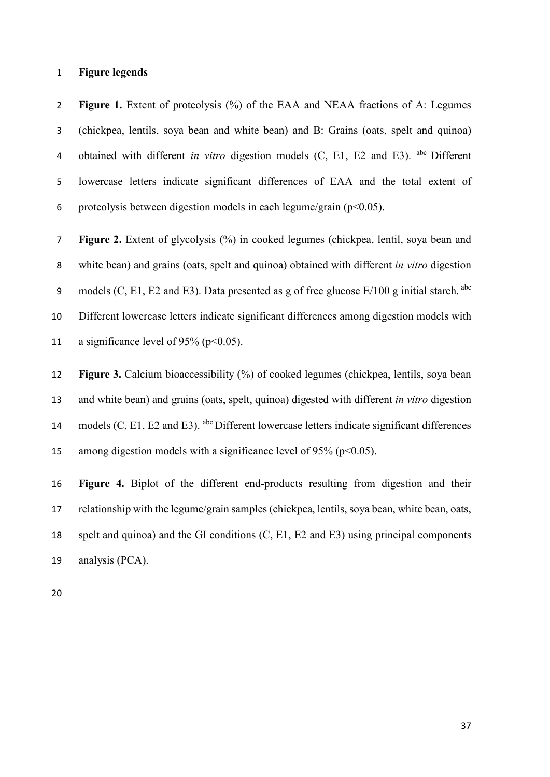### **Figure legends**

 **Figure 1.** Extent of proteolysis (%) of the EAA and NEAA fractions of A: Legumes (chickpea, lentils, soya bean and white bean) and B: Grains (oats, spelt and quinoa) 4 obtained with different *in vitro* digestion models (C, E1, E2 and E3). abc Different lowercase letters indicate significant differences of EAA and the total extent of 6 proteolysis between digestion models in each legume/grain ( $p<0.05$ ).

 **Figure 2.** Extent of glycolysis (%) in cooked legumes (chickpea, lentil, soya bean and white bean) and grains (oats, spelt and quinoa) obtained with different *in vitro* digestion 9 models (C, E1, E2 and E3). Data presented as g of free glucose  $E/100$  g initial starch. <sup>abc</sup> Different lowercase letters indicate significant differences among digestion models with 11 a significance level of 95% ( $p<0.05$ ).

 **Figure 3.** Calcium bioaccessibility (%) of cooked legumes (chickpea, lentils, soya bean and white bean) and grains (oats, spelt, quinoa) digested with different *in vitro* digestion 14 models  $(C, E1, E2$  and E3). <sup>abc</sup> Different lowercase letters indicate significant differences 15 among digestion models with a significance level of 95% ( $p<0.05$ ).

 **Figure 4.** Biplot of the different end-products resulting from digestion and their relationship with the legume/grain samples (chickpea, lentils, soya bean, white bean, oats, spelt and quinoa) and the GI conditions (C, E1, E2 and E3) using principal components analysis (PCA).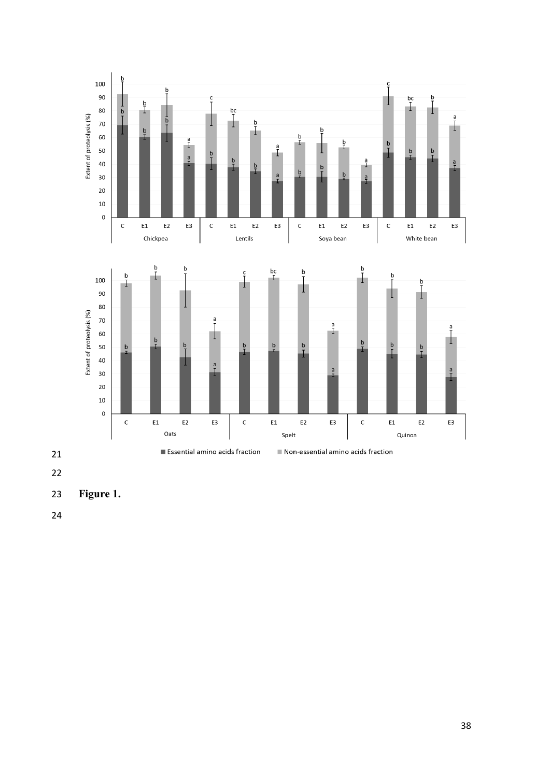

- **Figure 1.**
-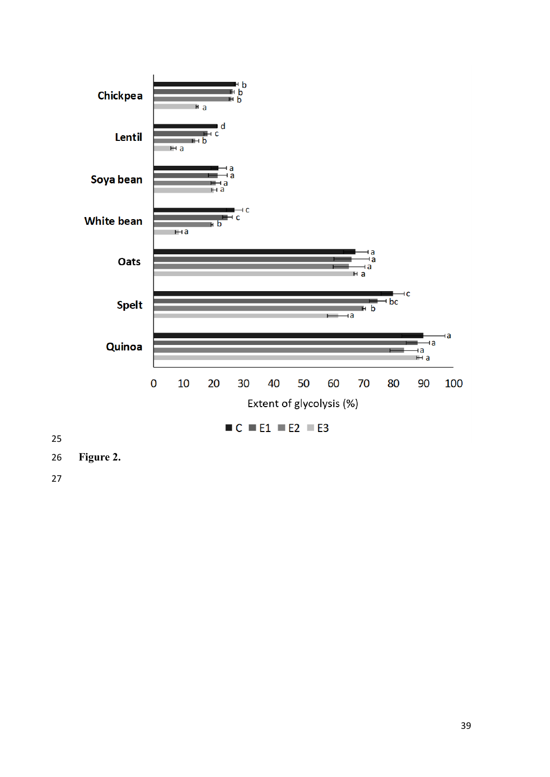

**Figure 2.**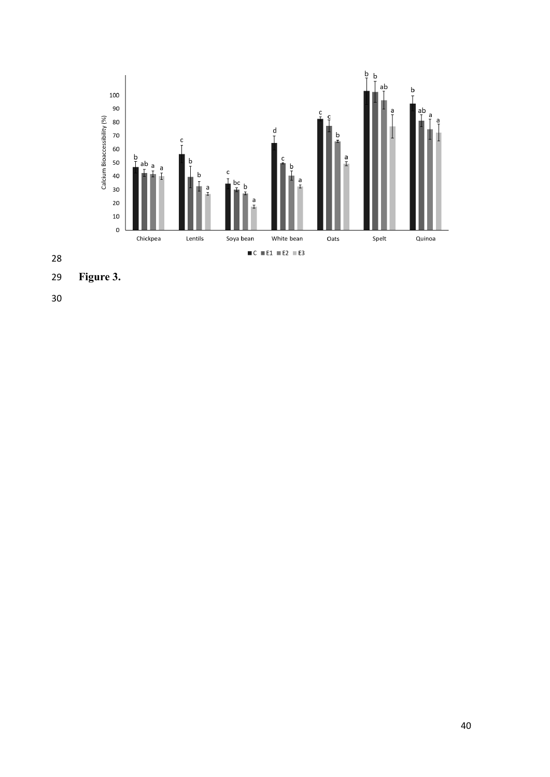